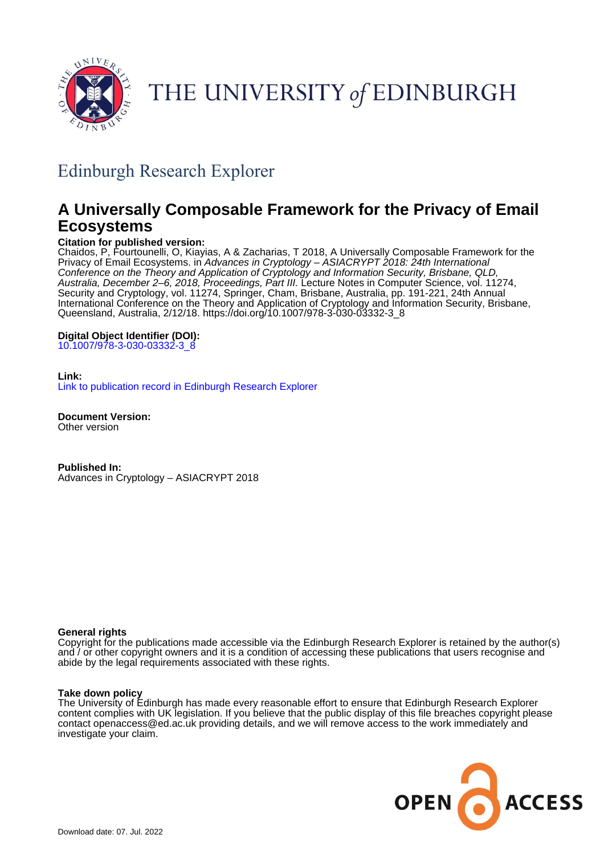

THE UNIVERSITY of EDINBURGH

# Edinburgh Research Explorer

## **A Universally Composable Framework for the Privacy of Email Ecosystems**

## **Citation for published version:**

Chaidos, P, Fourtounelli, O, Kiayias, A & Zacharias, T 2018, A Universally Composable Framework for the Privacy of Email Ecosystems. in Advances in Cryptology – ASIACRYPT 2018: 24th International Conference on the Theory and Application of Cryptology and Information Security, Brisbane, QLD, Australia, December 2–6, 2018, Proceedings, Part III. Lecture Notes in Computer Science, vol. 11274, Security and Cryptology, vol. 11274, Springer, Cham, Brisbane, Australia, pp. 191-221, 24th Annual International Conference on the Theory and Application of Cryptology and Information Security, Brisbane, Queensland, Australia, 2/12/18. [https://doi.org/10.1007/978-3-030-03332-3\\_8](https://doi.org/10.1007/978-3-030-03332-3_8)

## **Digital Object Identifier (DOI):**

[10.1007/978-3-030-03332-3\\_8](https://doi.org/10.1007/978-3-030-03332-3_8)

## **Link:**

[Link to publication record in Edinburgh Research Explorer](https://www.research.ed.ac.uk/en/publications/70a7310e-cb13-4eb0-be54-fd1e562fa749)

**Document Version:** Other version

**Published In:** Advances in Cryptology – ASIACRYPT 2018

## **General rights**

Copyright for the publications made accessible via the Edinburgh Research Explorer is retained by the author(s) and / or other copyright owners and it is a condition of accessing these publications that users recognise and abide by the legal requirements associated with these rights.

## **Take down policy**

The University of Edinburgh has made every reasonable effort to ensure that Edinburgh Research Explorer content complies with UK legislation. If you believe that the public display of this file breaches copyright please contact openaccess@ed.ac.uk providing details, and we will remove access to the work immediately and investigate your claim.

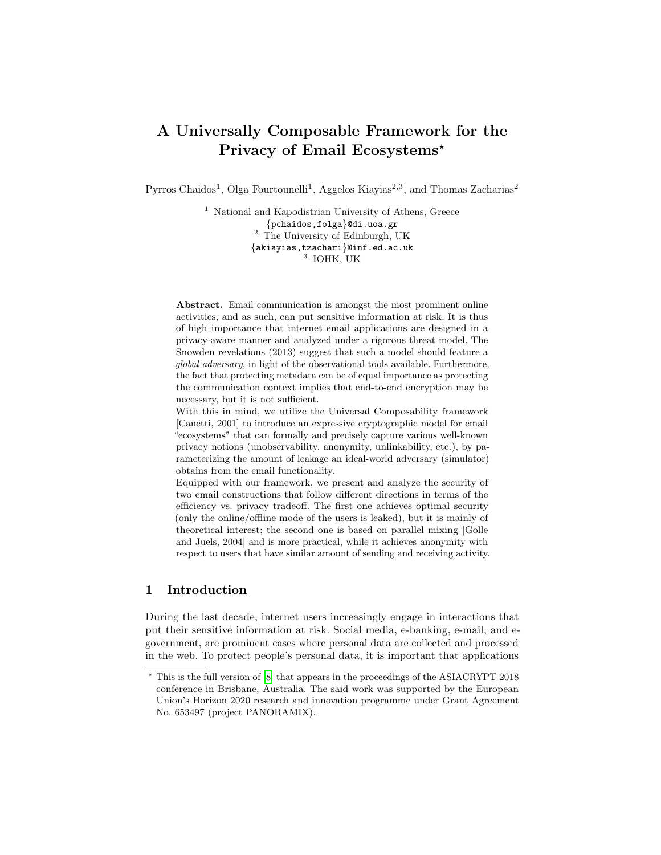## A Universally Composable Framework for the Privacy of Email Ecosystems\*

Pyrros Chaidos<sup>1</sup>, Olga Fourtounelli<sup>1</sup>, Aggelos Kiayias<sup>2,3</sup>, and Thomas Zacharias<sup>2</sup>

<sup>1</sup> National and Kapodistrian University of Athens, Greece {pchaidos,folga}@di.uoa.gr <sup>2</sup> The University of Edinburgh, UK {akiayias,tzachari}@inf.ed.ac.uk  $^3$  IOHK, UK

Abstract. Email communication is amongst the most prominent online activities, and as such, can put sensitive information at risk. It is thus of high importance that internet email applications are designed in a privacy-aware manner and analyzed under a rigorous threat model. The Snowden revelations (2013) suggest that such a model should feature a global adversary, in light of the observational tools available. Furthermore, the fact that protecting metadata can be of equal importance as protecting the communication context implies that end-to-end encryption may be necessary, but it is not sufficient.

With this in mind, we utilize the Universal Composability framework [Canetti, 2001] to introduce an expressive cryptographic model for email "ecosystems" that can formally and precisely capture various well-known privacy notions (unobservability, anonymity, unlinkability, etc.), by parameterizing the amount of leakage an ideal-world adversary (simulator) obtains from the email functionality.

Equipped with our framework, we present and analyze the security of two email constructions that follow different directions in terms of the efficiency vs. privacy tradeoff. The first one achieves optimal security (only the online/offline mode of the users is leaked), but it is mainly of theoretical interest; the second one is based on parallel mixing [Golle and Juels, 2004] and is more practical, while it achieves anonymity with respect to users that have similar amount of sending and receiving activity.

## 1 Introduction

During the last decade, internet users increasingly engage in interactions that put their sensitive information at risk. Social media, e-banking, e-mail, and egovernment, are prominent cases where personal data are collected and processed in the web. To protect people's personal data, it is important that applications

 $^\star$  This is the full version of [\[8\]](#page-31-0) that appears in the proceedings of the ASIACRYPT 2018 conference in Brisbane, Australia. The said work was supported by the European Union's Horizon 2020 research and innovation programme under Grant Agreement No. 653497 (project PANORAMIX).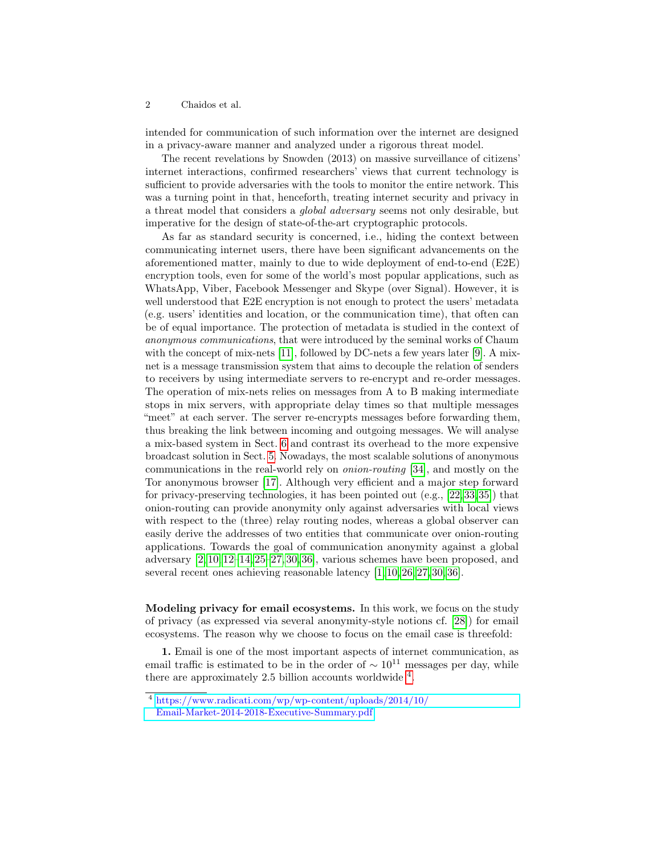intended for communication of such information over the internet are designed in a privacy-aware manner and analyzed under a rigorous threat model.

The recent revelations by Snowden (2013) on massive surveillance of citizens' internet interactions, confirmed researchers' views that current technology is sufficient to provide adversaries with the tools to monitor the entire network. This was a turning point in that, henceforth, treating internet security and privacy in a threat model that considers a global adversary seems not only desirable, but imperative for the design of state-of-the-art cryptographic protocols.

As far as standard security is concerned, i.e., hiding the context between communicating internet users, there have been significant advancements on the aforementioned matter, mainly to due to wide deployment of end-to-end (E2E) encryption tools, even for some of the world's most popular applications, such as WhatsApp, Viber, Facebook Messenger and Skype (over Signal). However, it is well understood that E2E encryption is not enough to protect the users' metadata (e.g. users' identities and location, or the communication time), that often can be of equal importance. The protection of metadata is studied in the context of anonymous communications, that were introduced by the seminal works of Chaum with the concept of mix-nets [\[11\]](#page-31-1), followed by DC-nets a few years later [\[9\]](#page-31-2). A mixnet is a message transmission system that aims to decouple the relation of senders to receivers by using intermediate servers to re-encrypt and re-order messages. The operation of mix-nets relies on messages from A to B making intermediate stops in mix servers, with appropriate delay times so that multiple messages "meet" at each server. The server re-encrypts messages before forwarding them, thus breaking the link between incoming and outgoing messages. We will analyse a mix-based system in Sect. [6](#page-24-0) and contrast its overhead to the more expensive broadcast solution in Sect. [5.](#page-17-0) Nowadays, the most scalable solutions of anonymous communications in the real-world rely on onion-routing [\[34\]](#page-32-0), and mostly on the Tor anonymous browser [\[17\]](#page-32-1). Although very efficient and a major step forward for privacy-preserving technologies, it has been pointed out (e.g., [\[22,](#page-32-2) [33,](#page-32-3) [35\]](#page-33-0)) that onion-routing can provide anonymity only against adversaries with local views with respect to the (three) relay routing nodes, whereas a global observer can easily derive the addresses of two entities that communicate over onion-routing applications. Towards the goal of communication anonymity against a global adversary [\[2,](#page-31-3) [10,](#page-31-4) [12–](#page-31-5)[14,](#page-32-4) [25](#page-32-5)[–27,](#page-32-6) [30,](#page-32-7) [36\]](#page-33-1), various schemes have been proposed, and several recent ones achieving reasonable latency [\[1,](#page-31-6) [10,](#page-31-4) [26,](#page-32-8) [27,](#page-32-6) [30,](#page-32-7) [36\]](#page-33-1).

Modeling privacy for email ecosystems. In this work, we focus on the study of privacy (as expressed via several anonymity-style notions cf. [\[28\]](#page-32-9)) for email ecosystems. The reason why we choose to focus on the email case is threefold:

1. Email is one of the most important aspects of internet communication, as email traffic is estimated to be in the order of  $\sim 10^{11}$  messages per day, while there are approximately 2.5 billion accounts worldwide  $4$ .

<span id="page-2-0"></span><sup>4</sup> [https://www.radicati.com/wp/wp-content/uploads/2014/10/](https://www.radicati.com/wp/wp-content/uploads/2014/10/Email-Market-2014-2018-Executive-Summary.pdf) [Email-Market-2014-2018-Executive-Summary.pdf](https://www.radicati.com/wp/wp-content/uploads/2014/10/Email-Market-2014-2018-Executive-Summary.pdf)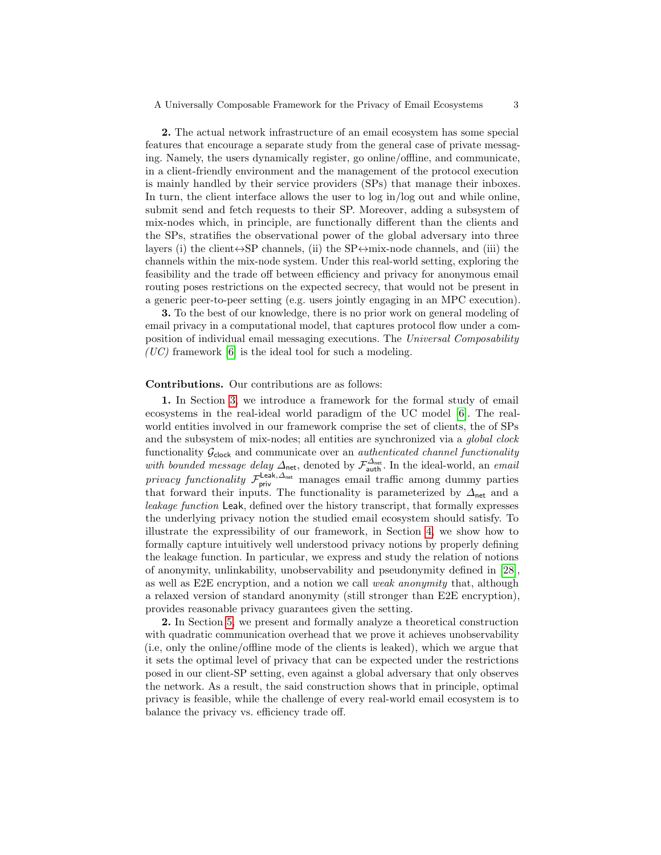A Universally Composable Framework for the Privacy of Email Ecosystems 3

2. The actual network infrastructure of an email ecosystem has some special features that encourage a separate study from the general case of private messaging. Namely, the users dynamically register, go online/offline, and communicate, in a client-friendly environment and the management of the protocol execution is mainly handled by their service providers (SPs) that manage their inboxes. In turn, the client interface allows the user to log in/log out and while online, submit send and fetch requests to their SP. Moreover, adding a subsystem of mix-nodes which, in principle, are functionally different than the clients and the SPs, stratifies the observational power of the global adversary into three layers (i) the client $\leftrightarrow$ SP channels, (ii) the SP $\leftrightarrow$ mix-node channels, and (iii) the channels within the mix-node system. Under this real-world setting, exploring the feasibility and the trade off between efficiency and privacy for anonymous email routing poses restrictions on the expected secrecy, that would not be present in a generic peer-to-peer setting (e.g. users jointly engaging in an MPC execution).

3. To the best of our knowledge, there is no prior work on general modeling of email privacy in a computational model, that captures protocol flow under a composition of individual email messaging executions. The Universal Composability  $(UC)$  framework [\[6\]](#page-31-7) is the ideal tool for such a modeling.

#### Contributions. Our contributions are as follows:

1. In Section [3,](#page-6-0) we introduce a framework for the formal study of email ecosystems in the real-ideal world paradigm of the UC model [\[6\]](#page-31-7). The realworld entities involved in our framework comprise the set of clients, the of SPs and the subsystem of mix-nodes; all entities are synchronized via a global clock functionality  $\mathcal{G}_{\text{clock}}$  and communicate over an *authenticated channel functionality* with bounded message delay  $\Delta_{\text{net}}$ , denoted by  $\mathcal{F}_{\text{auth}}^{\Delta_{\text{net}}}$ . In the ideal-world, an email privacy functionality  $\mathcal{F}_{\text{priv}}^{\text{Leak},\Delta_{\text{net}}}$  manages email traffic among dummy parties that forward their inputs. The functionality is parameterized by  $\Delta_{\text{net}}$  and a leakage function Leak, defined over the history transcript, that formally expresses the underlying privacy notion the studied email ecosystem should satisfy. To illustrate the expressibility of our framework, in Section [4,](#page-12-0) we show how to formally capture intuitively well understood privacy notions by properly defining the leakage function. In particular, we express and study the relation of notions of anonymity, unlinkability, unobservability and pseudonymity defined in [\[28\]](#page-32-9), as well as E2E encryption, and a notion we call weak anonymity that, although a relaxed version of standard anonymity (still stronger than E2E encryption), provides reasonable privacy guarantees given the setting.

2. In Section [5,](#page-17-0) we present and formally analyze a theoretical construction with quadratic communication overhead that we prove it achieves unobservability (i.e, only the online/offline mode of the clients is leaked), which we argue that it sets the optimal level of privacy that can be expected under the restrictions posed in our client-SP setting, even against a global adversary that only observes the network. As a result, the said construction shows that in principle, optimal privacy is feasible, while the challenge of every real-world email ecosystem is to balance the privacy vs. efficiency trade off.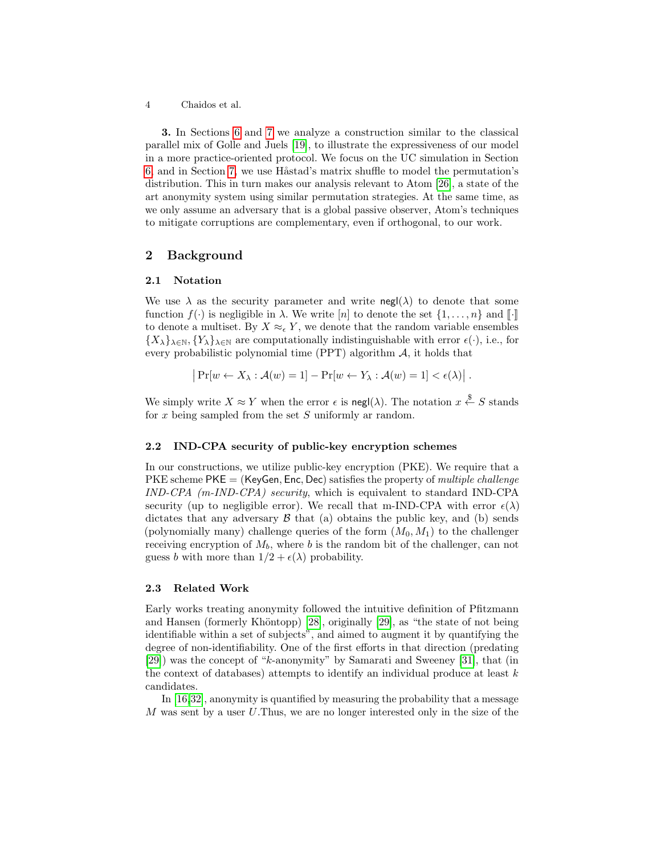3. In Sections [6](#page-24-0) and [7](#page-29-0) we analyze a construction similar to the classical parallel mix of Golle and Juels [\[19\]](#page-32-10), to illustrate the expressiveness of our model in a more practice-oriented protocol. We focus on the UC simulation in Section [6,](#page-24-0) and in Section [7,](#page-29-0) we use Håstad's matrix shuffle to model the permutation's distribution. This in turn makes our analysis relevant to Atom [\[26\]](#page-32-8), a state of the art anonymity system using similar permutation strategies. At the same time, as we only assume an adversary that is a global passive observer, Atom's techniques to mitigate corruptions are complementary, even if orthogonal, to our work.

## 2 Background

#### 2.1 Notation

We use  $\lambda$  as the security parameter and write negl( $\lambda$ ) to denote that some function  $f(\cdot)$  is negligible in  $\lambda$ . We write [n] to denote the set  $\{1, \ldots, n\}$  and  $\llbracket \cdot \rrbracket$ to denote a multiset. By  $X \approx_{\epsilon} Y$ , we denote that the random variable ensembles  ${X_{\lambda}}_{\lambda\in\mathbb{N}}, {Y_{\lambda}}_{\lambda\in\mathbb{N}}$  are computationally indistinguishable with error  $\epsilon(\cdot)$ , i.e., for every probabilistic polynomial time (PPT) algorithm  $A$ , it holds that

$$
|\Pr[w \leftarrow X_{\lambda} : \mathcal{A}(w) = 1] - \Pr[w \leftarrow Y_{\lambda} : \mathcal{A}(w) = 1] < \epsilon(\lambda)|.
$$

We simply write  $X \approx Y$  when the error  $\epsilon$  is negl( $\lambda$ ). The notation  $x \stackrel{\$}{\leftarrow} S$  stands for  $x$  being sampled from the set  $S$  uniformly ar random.

#### <span id="page-4-0"></span>2.2 IND-CPA security of public-key encryption schemes

In our constructions, we utilize public-key encryption (PKE). We require that a PKE scheme  $PKE = (KeyGen, Enc, Dec)$  satisfies the property of *multiple challenge* IND-CPA (m-IND-CPA) security, which is equivalent to standard IND-CPA security (up to negligible error). We recall that m-IND-CPA with error  $\epsilon(\lambda)$ dictates that any adversary  $\beta$  that (a) obtains the public key, and (b) sends (polynomially many) challenge queries of the form  $(M_0, M_1)$  to the challenger receiving encryption of  $M_b$ , where b is the random bit of the challenger, can not guess *b* with more than  $1/2 + \epsilon(\lambda)$  probability.

#### 2.3 Related Work

Early works treating anonymity followed the intuitive definition of Pfitzmann and Hansen (formerly Khöntopp) [\[28\]](#page-32-9), originally [\[29\]](#page-32-11), as "the state of not being identifiable within a set of subjects", and aimed to augment it by quantifying the degree of non-identifiability. One of the first efforts in that direction (predating [\[29\]](#page-32-11)) was the concept of " $k$ -anonymity" by Samarati and Sweeney [\[31\]](#page-32-12), that (in the context of databases) attempts to identify an individual produce at least  $k$ candidates.

In [\[16,](#page-32-13)[32\]](#page-32-14), anonymity is quantified by measuring the probability that a message M was sent by a user U.Thus, we are no longer interested only in the size of the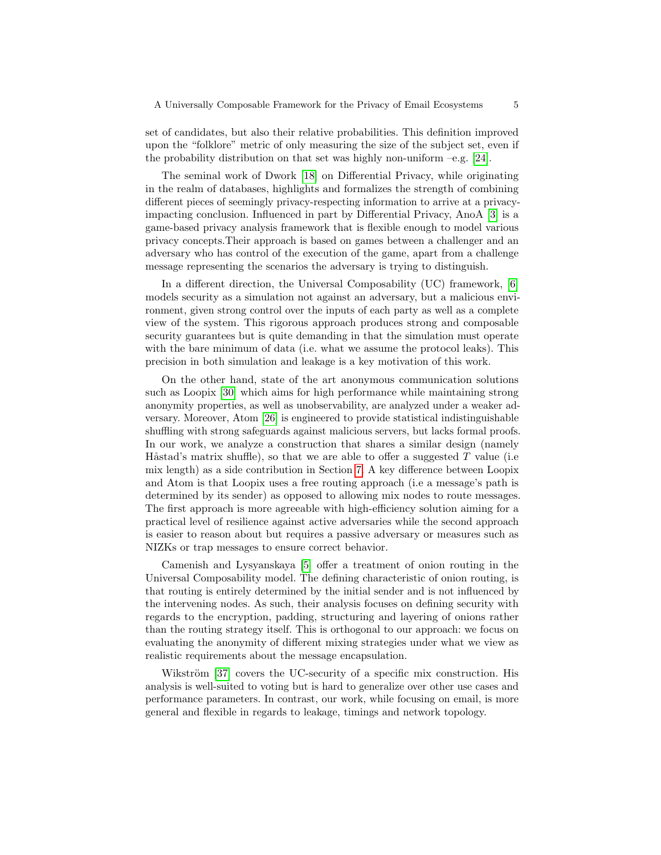set of candidates, but also their relative probabilities. This definition improved upon the "folklore" metric of only measuring the size of the subject set, even if the probability distribution on that set was highly non-uniform  $-e.g.$  [\[24\]](#page-32-15).

The seminal work of Dwork [\[18\]](#page-32-16) on Differential Privacy, while originating in the realm of databases, highlights and formalizes the strength of combining different pieces of seemingly privacy-respecting information to arrive at a privacyimpacting conclusion. Influenced in part by Differential Privacy, AnoA [\[3\]](#page-31-8) is a game-based privacy analysis framework that is flexible enough to model various privacy concepts.Their approach is based on games between a challenger and an adversary who has control of the execution of the game, apart from a challenge message representing the scenarios the adversary is trying to distinguish.

In a different direction, the Universal Composability (UC) framework, [\[6\]](#page-31-7) models security as a simulation not against an adversary, but a malicious environment, given strong control over the inputs of each party as well as a complete view of the system. This rigorous approach produces strong and composable security guarantees but is quite demanding in that the simulation must operate with the bare minimum of data (i.e. what we assume the protocol leaks). This precision in both simulation and leakage is a key motivation of this work.

On the other hand, state of the art anonymous communication solutions such as Loopix [\[30\]](#page-32-7) which aims for high performance while maintaining strong anonymity properties, as well as unobservability, are analyzed under a weaker adversary. Moreover, Atom [\[26\]](#page-32-8) is engineered to provide statistical indistinguishable shuffling with strong safeguards against malicious servers, but lacks formal proofs. In our work, we analyze a construction that shares a similar design (namely Håstad's matrix shuffle), so that we are able to offer a suggested  $T$  value (i.e. mix length) as a side contribution in Section [7.](#page-29-0) A key difference between Loopix and Atom is that Loopix uses a free routing approach (i.e a message's path is determined by its sender) as opposed to allowing mix nodes to route messages. The first approach is more agreeable with high-efficiency solution aiming for a practical level of resilience against active adversaries while the second approach is easier to reason about but requires a passive adversary or measures such as NIZKs or trap messages to ensure correct behavior.

Camenish and Lysyanskaya [\[5\]](#page-31-9) offer a treatment of onion routing in the Universal Composability model. The defining characteristic of onion routing, is that routing is entirely determined by the initial sender and is not influenced by the intervening nodes. As such, their analysis focuses on defining security with regards to the encryption, padding, structuring and layering of onions rather than the routing strategy itself. This is orthogonal to our approach: we focus on evaluating the anonymity of different mixing strategies under what we view as realistic requirements about the message encapsulation.

Wikström  $[37]$  covers the UC-security of a specific mix construction. His analysis is well-suited to voting but is hard to generalize over other use cases and performance parameters. In contrast, our work, while focusing on email, is more general and flexible in regards to leakage, timings and network topology.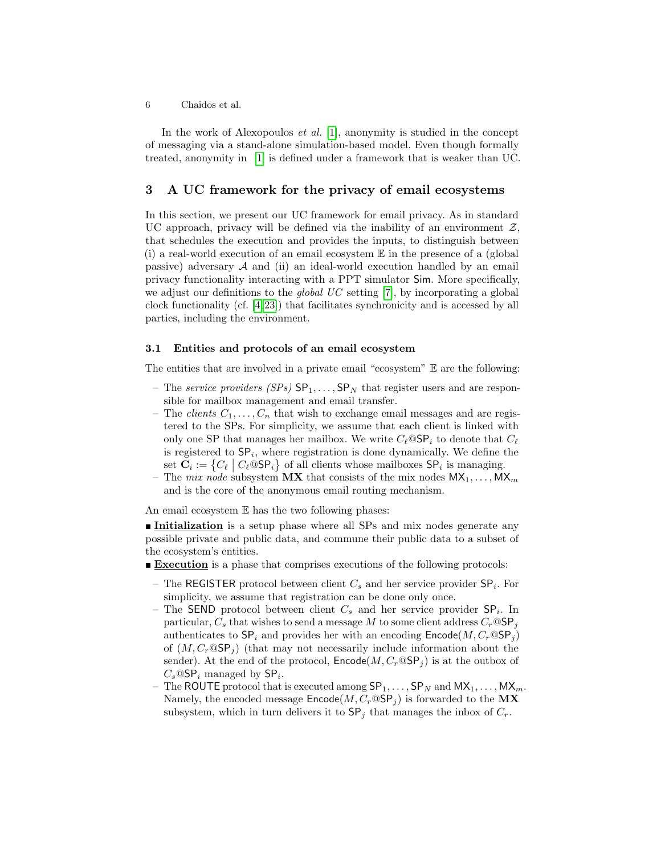In the work of Alexopoulos *et al.* [\[1\]](#page-31-6), anonymity is studied in the concept of messaging via a stand-alone simulation-based model. Even though formally treated, anonymity in [\[1\]](#page-31-6) is defined under a framework that is weaker than UC.

## <span id="page-6-0"></span>3 A UC framework for the privacy of email ecosystems

In this section, we present our UC framework for email privacy. As in standard UC approach, privacy will be defined via the inability of an environment  $Z$ , that schedules the execution and provides the inputs, to distinguish between  $(i)$  a real-world execution of an email ecosystem  $E$  in the presence of a (global passive) adversary  $A$  and (ii) an ideal-world execution handled by an email privacy functionality interacting with a PPT simulator Sim. More specifically, we adjust our definitions to the *global UC* setting [\[7\]](#page-31-10), by incorporating a global clock functionality (cf. [\[4,](#page-31-11) [23\]](#page-32-17)) that facilitates synchronicity and is accessed by all parties, including the environment.

#### 3.1 Entities and protocols of an email ecosystem

The entities that are involved in a private email "ecosystem" E are the following:

- The service providers (SPs)  $\mathsf{SP}_1, \ldots, \mathsf{SP}_N$  that register users and are responsible for mailbox management and email transfer.
- The *clients*  $C_1, \ldots, C_n$  that wish to exchange email messages and are registered to the SPs. For simplicity, we assume that each client is linked with only one SP that manages her mailbox. We write  $C_{\ell} \otimes \mathsf{SP}_i$  to denote that  $C_{\ell}$ is registered to  $SP<sub>i</sub>$ , where registration is done dynamically. We define the set  $\mathbf{C}_i := \{ C_\ell \mid C_\ell \mathbb{QSP}_i \}$  of all clients whose mailboxes  $\mathsf{SP}_i$  is managing.
- The *mix node* subsystem  $\mathbf{MX}$  that consists of the mix nodes  $\mathsf{MX}_1, \ldots, \mathsf{MX}_m$ and is the core of the anonymous email routing mechanism.

An email ecosystem  $E$  has the two following phases:

Initialization is a setup phase where all SPs and mix nodes generate any possible private and public data, and commune their public data to a subset of the ecosystem's entities.

- **Execution** is a phase that comprises executions of the following protocols:
	- The REGISTER protocol between client  $C_s$  and her service provider  $SP_i$ . For simplicity, we assume that registration can be done only once.
	- The SEND protocol between client  $C_s$  and her service provider SP<sub>i</sub>. In particular,  $C_s$  that wishes to send a message M to some client address  $C_r$  QSP<sub>j</sub> authenticates to  $\mathsf{SP}_i$  and provides her with an encoding  $\mathsf{Encode}(M, C_r \mathsf{QSP}_i)$ of  $(M, C_r \otimes \mathsf{SP}_i)$  (that may not necessarily include information about the sender). At the end of the protocol,  $\mathsf{Encode}(M, C_r@{\sf SP}_i)$  is at the outbox of  $C_s$ @SP<sub>i</sub> managed by SP<sub>i</sub>.
	- The ROUTE protocol that is executed among  $SP_1, \ldots, SP_N$  and  $MX_1, \ldots, MX_m$ . Namely, the encoded message  $\mathsf{Encode}(M, C_r@{\mathsf{SP}_i})$  is forwarded to the MX subsystem, which in turn delivers it to  $SP_j$  that manages the inbox of  $C_r$ .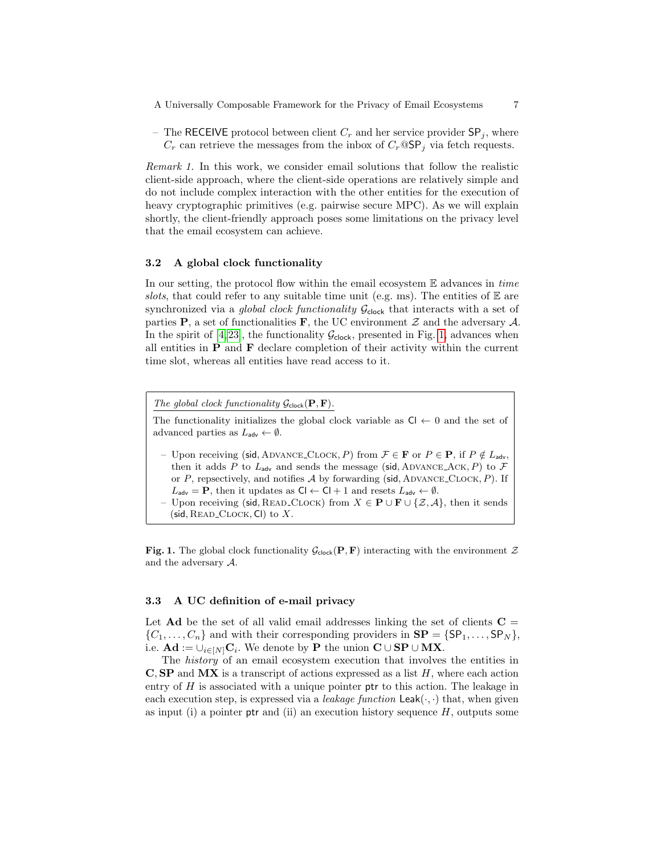- A Universally Composable Framework for the Privacy of Email Ecosystems 7
- The RECEIVE protocol between client  $C_r$  and her service provider SP<sub>j</sub>, where  $C_r$  can retrieve the messages from the inbox of  $C_r$ @SP<sub>j</sub> via fetch requests.

Remark 1. In this work, we consider email solutions that follow the realistic client-side approach, where the client-side operations are relatively simple and do not include complex interaction with the other entities for the execution of heavy cryptographic primitives (e.g. pairwise secure MPC). As we will explain shortly, the client-friendly approach poses some limitations on the privacy level that the email ecosystem can achieve.

#### 3.2 A global clock functionality

In our setting, the protocol flow within the email ecosystem  $E$  advances in time slots, that could refer to any suitable time unit (e.g. ms). The entities of  $E$  are synchronized via a *global clock functionality*  $\mathcal{G}_{\text{clock}}$  that interacts with a set of parties **P**, a set of functionalities **F**, the UC environment  $\mathcal{Z}$  and the adversary  $\mathcal{A}$ . In the spirit of [\[4,](#page-31-11) [23\]](#page-32-17), the functionality  $\mathcal{G}_{clock}$ , presented in Fig. [1,](#page-7-0) advances when all entities in  $P$  and  $F$  declare completion of their activity within the current time slot, whereas all entities have read access to it.

The global clock functionality  $\mathcal{G}_{clock}(\mathbf{P}, \mathbf{F})$ .

The functionality initializes the global clock variable as  $Cl \leftarrow 0$  and the set of advanced parties as  $L_{\text{adv}} \leftarrow \emptyset$ .

- Upon receiving (sid, ADVANCE\_CLOCK, P) from  $\mathcal{F} \in \mathbf{F}$  or  $P \in \mathbf{P}$ , if  $P \notin L_{adv}$ , then it adds P to  $L_{adv}$  and sends the message (sid, ADVANCE\_ACK, P) to F or  $P$ , repsectively, and notifies  $A$  by forwarding (sid, ADVANCE\_CLOCK,  $P$ ). If  $L_{adv} = \mathbf{P}$ , then it updates as  $\mathbf{C} \leftarrow \mathbf{C} + 1$  and resets  $L_{adv} \leftarrow \emptyset$ .
- Upon receiving (sid, READ\_CLOCK) from  $X \in \mathbf{P} \cup \mathbf{F} \cup \{Z, \mathcal{A}\}$ , then it sends (sid, READ\_CLOCK, Cl) to  $X$ .

<span id="page-7-0"></span>Fig. 1. The global clock functionality  $\mathcal{G}_{\text{clock}}(P, F)$  interacting with the environment  $\mathcal Z$ and the adversary  $A$ .

#### <span id="page-7-1"></span>3.3 A UC definition of e-mail privacy

Let **Ad** be the set of all valid email addresses linking the set of clients  $C =$  $\{C_1, \ldots, C_n\}$  and with their corresponding providers in  $\mathbf{SP} = \{\mathsf{SP}_1, \ldots, \mathsf{SP}_N\}$ , i.e.  $\mathbf{Ad} := \cup_{i \in [N]} \mathbf{C}_i$ . We denote by P the union  $\mathbf{C} \cup \mathbf{SP} \cup \mathbf{MX}$ .

The history of an email ecosystem execution that involves the entities in  $\mathbf{C}, \mathbf{SP}$  and  $\mathbf{MX}$  is a transcript of actions expressed as a list H, where each action entry of  $H$  is associated with a unique pointer ptr to this action. The leakage in each execution step, is expressed via a *leakage function*  $\textsf{Leak}(\cdot, \cdot)$  that, when given as input (i) a pointer ptr and (ii) an execution history sequence  $H$ , outputs some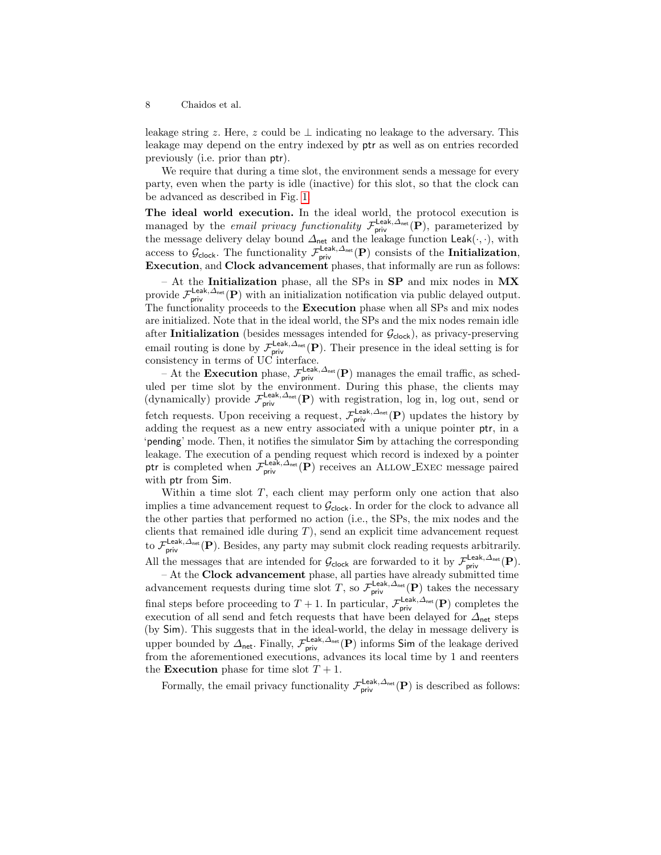leakage string z. Here, z could be  $\perp$  indicating no leakage to the adversary. This leakage may depend on the entry indexed by ptr as well as on entries recorded previously (i.e. prior than ptr).

We require that during a time slot, the environment sends a message for every party, even when the party is idle (inactive) for this slot, so that the clock can be advanced as described in Fig. [1.](#page-7-0)

The ideal world execution. In the ideal world, the protocol execution is managed by the *email privacy functionality*  $\mathcal{F}_{\text{priv}}^{\text{Leak},\Delta_{\text{net}}}(\bar{\mathbf{P}})$ , parameterized by the message delivery delay bound  $\Delta_{\text{net}}$  and the leakage function Leak $(\cdot, \cdot)$ , with access to  $\mathcal{G}_{\text{clock}}$ . The functionality  $\mathcal{F}_{\text{priv}}^{\text{Leak},\Delta_{\text{net}}}(\textbf{P})$  consists of the **Initialization**, Execution, and Clock advancement phases, that informally are run as follows:

– At the Initialization phase, all the SPs in SP and mix nodes in MX provide  $\mathcal{F}_{\text{priv}}^{\text{Leak},\Delta_{\text{net}}}(\mathbf{P})$  with an initialization notification via public delayed output. The functionality proceeds to the **Execution** phase when all SPs and mix nodes are initialized. Note that in the ideal world, the SPs and the mix nodes remain idle after Initialization (besides messages intended for  $\mathcal{G}_{clock}$ ), as privacy-preserving email routing is done by  $\mathcal{F}_{\text{priv}}^{\text{Leak},\Delta_{\text{net}}}(\mathbf{P})$ . Their presence in the ideal setting is for consistency in terms of UC interface.

– At the Execution phase,  $\mathcal{F}_{\text{priv}}^{\text{Leak},\Delta_{\text{net}}}(\mathbf{P})$  manages the email traffic, as scheduled per time slot by the environment. During this phase, the clients may (dynamically) provide  $\mathcal{F}_{\text{priv}}^{\text{Leak},\Delta_{\text{net}}}(\mathbf{P})$  with registration, log in, log out, send or fetch requests. Upon receiving a request,  $\mathcal{F}_{\text{priv}}^{\text{Leak},\Delta_{\text{net}}}(\mathbf{P})$  updates the history by adding the request as a new entry associated with a unique pointer ptr, in a 'pending' mode. Then, it notifies the simulator Sim by attaching the corresponding leakage. The execution of a pending request which record is indexed by a pointer ptr is completed when  $\mathcal{F}_{\text{priv}}^{\text{Leak},\Delta_{\text{net}}}(\tilde{P})$  receives an ALLOW EXEC message paired with ptr from Sim.

Within a time slot  $T$ , each client may perform only one action that also implies a time advancement request to  $\mathcal{G}_{clock}$ . In order for the clock to advance all the other parties that performed no action (i.e., the SPs, the mix nodes and the clients that remained idle during  $T$ , send an explicit time advancement request to  $\mathcal{F}_{\text{priv}}^{\text{Leak},\Delta_{\text{net}}}(\mathbf{P})$ . Besides, any party may submit clock reading requests arbitrarily. All the messages that are intended for  $\mathcal{G}_{\text{clock}}$  are forwarded to it by  $\mathcal{F}_{\text{priv}}^{\text{Leak},\Delta_{\text{net}}}(\mathbf{P})$ .

– At the Clock advancement phase, all parties have already submitted time advancement requests during time slot T, so  $\mathcal{F}_{\text{priv}}^{\text{Leak},\Delta_{\text{net}}}(\mathbf{P})$  takes the necessary final steps before proceeding to  $T + 1$ . In particular,  $\mathcal{F}_{\text{priv}}^{\text{Leak},\Delta_{\text{net}}}(\mathbf{P})$  completes the execution of all send and fetch requests that have been delayed for  $\Delta_{\textsf{net}}$  steps (by Sim). This suggests that in the ideal-world, the delay in message delivery is upper bounded by  $\Delta_{\text{net}}$ . Finally,  $\mathcal{F}_{\text{priv}}^{\text{Leak},\Delta_{\text{net}}}(\mathbf{P})$  informs Sim of the leakage derived from the aforementioned executions, advances its local time by 1 and reenters the **Execution** phase for time slot  $T + 1$ .

Formally, the email privacy functionality  $\mathcal{F}_{\text{priv}}^{\text{Leak},\Delta_{\text{net}}}(\mathbf{P})$  is described as follows: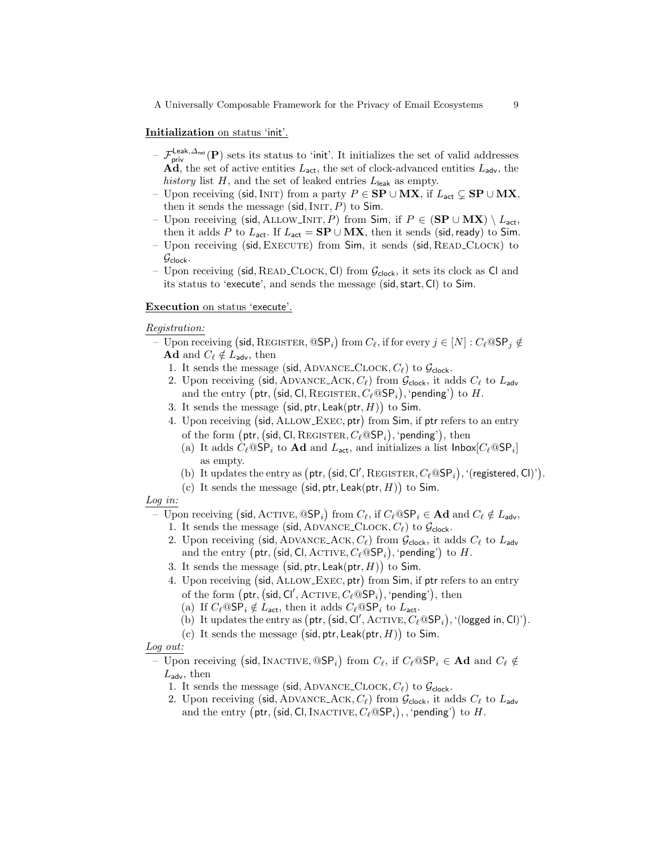#### Initialization on status 'init'.

- $-\mathcal{F}_{\text{priv}}^{\text{Leak},\Delta_{\text{net}}}(\textbf{P})$  sets its status to 'init'. It initializes the set of valid addresses Ad, the set of active entities  $L_{\text{act}}$ , the set of clock-advanced entities  $L_{\text{adv}}$ , the history list  $H$ , and the set of leaked entries  $L_{\text{leak}}$  as empty.
- Upon receiving (sid, INIT) from a party  $P \in \text{SP} \cup \text{MX}$ , if  $L_{\text{act}} \subsetneq \text{SP} \cup \text{MX}$ , then it sends the message (sid,  $INT, P$ ) to Sim.
- Upon receiving (sid, ALLOW\_INIT, P) from Sim, if  $P \in (\mathbf{SP} \cup \mathbf{MX}) \setminus L_{\mathsf{act}}$ , then it adds P to  $L_{\text{act}}$ . If  $L_{\text{act}} = \text{SP} \cup \text{MX}$ , then it sends (sid, ready) to Sim.
- Upon receiving (sid, EXECUTE) from Sim, it sends (sid, READ\_CLOCK) to  $\mathcal{G}_{\mathsf{clock}}$ .
- Upon receiving (sid, READ\_CLOCK, Cl) from  $\mathcal{G}_{clock}$ , it sets its clock as Cl and its status to 'execute', and sends the message (sid, start, Cl) to Sim.

#### Execution on status 'execute'.

## Registration:

- $\overline{\phantom{I}}$  Upon receiving (sid, REGISTER, @SP<sub>i</sub>) from  $C_{\ell}$ , if for every  $j \in [N]$  :  $C_{\ell}$  @SP<sub>j</sub>  $\notin$ Ad and  $C_{\ell} \notin L_{\text{adv}}$ , then
	- 1. It sends the message (sid, ADVANCE\_CLOCK,  $C_{\ell}$ ) to  $\mathcal{G}_{\text{clock}}$ .
	- 2. Upon receiving (sid, ADVANCE\_ACK,  $C_{\ell}$ ) from  $\mathcal{G}_{\text{clock}}$ , it adds  $C_{\ell}$  to  $L_{\text{adv}}$ and the entry (ptr, (sid, Cl, REGISTER,  $C_{\ell}@\mathsf{SP}_i),$  'pending') to  $H.$
	- 3. It sends the message  $(\text{sid}, \text{ptr}, \text{Leak}(\text{ptr}, H))$  to Sim.
	- 4. Upon receiving (sid, ALLOW\_EXEC, ptr) from Sim, if ptr refers to an entry of the form  $(\mathsf{ptr}, (\mathsf{sid}, \mathsf{CI}, \mathsf{REGISTER}, C_\ell @ \mathsf{SP}_i), \mathsf{'pending{}'}),$  then
		- (a) It adds  $C_{\ell}$  QSP<sub>i</sub> to **Ad** and  $L_{\text{act}}$ , and initializes a list  $\mathsf{Inbox}[C_{\ell}$  QSP<sub>i</sub>] as empty.
		- (b) It updates the entry as  $(\text{ptr}, (\text{sid}, \text{CI}', \text{REGISTER}, C_\ell \text{@SP_i}), (\text{registered}, \text{CI})').$
		- (c) It sends the message (sid, ptr, Leak(ptr,  $H$ )) to Sim.
- Log in:

## $\overline{\phantom{C}}$  Upon receiving (sid, ACTIVE, QSP<sub>i</sub>) from  $C_{\ell}$ , if  $C_{\ell}$ QSP<sub>i</sub>  $\in$  **Ad** and  $C_{\ell} \notin L_{\mathsf{adv}}$ , 1. It sends the message (sid, ADVANCE\_CLOCK,  $C_{\ell}$ ) to  $\mathcal{G}_{\text{clock}}$ .

- 2. Upon receiving (sid, ADVANCE\_ACK,  $C_{\ell}$ ) from  $\mathcal{G}_{\text{clock}}$ , it adds  $C_{\ell}$  to  $L_{\text{adv}}$ and the entry  $($ ptr,  $u$ sid, Cl, ACTIVE,  $C_{\ell}$ @SP<sub>i</sub> $)$ , 'pending' $)$  to  $H$ .
- 3. It sends the message  $(\text{sid}, \text{ptr}, \text{Leak}(\text{ptr}, H))$  to Sim.
- 4. Upon receiving (sid, ALLOW\_EXEC, ptr) from Sim, if ptr refers to an entry of the form  $(\mathsf{ptr}, (\mathsf{sid}, \mathsf{Cl}', \mathrm{ACTIVE}, C_\ell @ \mathsf{SP}_i), \mathsf{'pending'}),$  then
	- (a) If  $C_{\ell}$   $\mathbb{Q}$ SP<sub>i</sub>  $\notin$   $\dot{L}_{act}$ , then it adds  $C_{\ell}$   $\mathbb{Q}$ SP<sub>i</sub> to  $L_{act}$ .
	- (b) It updates the entry as  $(\text{ptr}, (\text{sid}, \text{C}l', \text{ACTIVE}, C_{\ell} \text{@SP<sub>i</sub>}), (\text{logged in}, \text{C}l')'.$
	- (c) It sends the message (sid, ptr, Leak(ptr,  $H$ )) to Sim.

### Log out:

- $\overline{\phantom{x}}$  Upon receiving (sid, INACTIVE, QSP<sub>i</sub>) from  $C_{\ell}$ , if  $C_{\ell}$ QSP<sub>i</sub>  $\in$  Ad and  $C_{\ell}$   $\notin$  $L_{\text{adv}}$ , then
	- 1. It sends the message (sid, ADVANCE\_CLOCK,  $C_{\ell}$ ) to  $\mathcal{G}_{\text{clock}}$ .
	- 2. Upon receiving (sid, ADVANCE\_ACK,  $C_{\ell}$ ) from  $\mathcal{G}_{\text{clock}}$ , it adds  $C_{\ell}$  to  $L_{\text{adv}}$ and the entry (ptr, (sid, Cl, INACTIVE,  $C_{\ell} @{\sf SP}_i),$  , 'pending') to  $H.$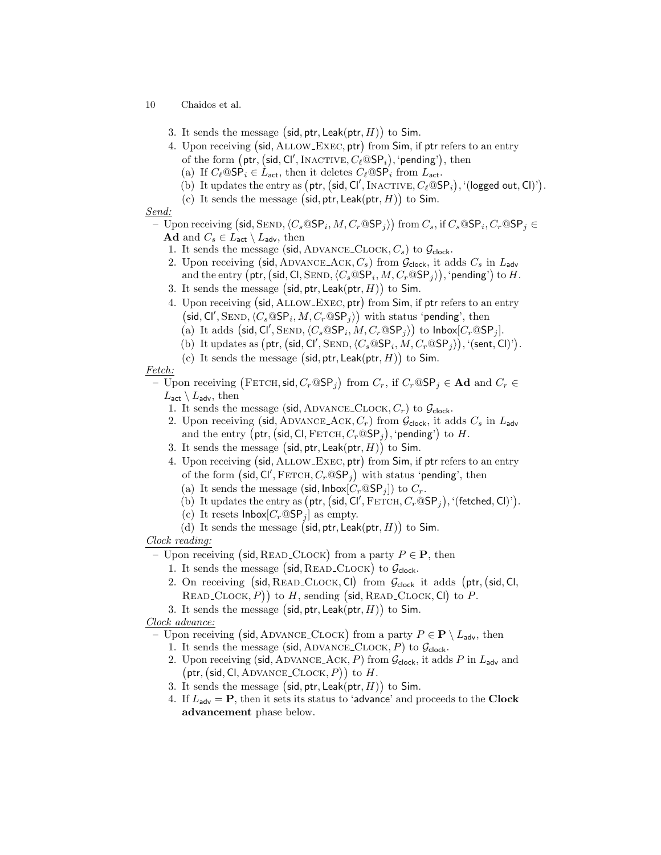- 10 Chaidos et al.
	- 3. It sends the message  $(\text{sid}, \text{ptr}, \text{Leak}(\text{ptr}, H))$  to Sim.
	- 4. Upon receiving (sid, ALLOW\_EXEC, ptr) from Sim, if ptr refers to an entry of the form  $(\mathsf{ptr}, (\mathsf{sid}, \mathsf{C} \mathsf{I}', \text{INACTIVE}, C \mathsf{e} @ \mathsf{SP}_i), \text{'pending'}),$  then (a) If  $C_{\ell}$   $\mathbb{Q}$ SP<sub>i</sub>  $\in$   $L_{\text{act}}$ , then it deletes  $C_{\ell}$   $\mathbb{Q}$ SP<sub>i</sub> from  $L_{\text{act}}$ .
		- (b) It updates the entry as  $(\mathsf{ptr}, \left(\mathsf{sid}, \mathsf{CI}', \mathsf{INACTIVE}, C_\ell @ \mathsf{SP}_i\right), \left(\mathsf{logged} \mathsf{out}, \mathsf{CI}\right)')$ .
		- (c) It sends the message (sid, ptr, Leak(ptr,  $H$ )) to Sim.
- Send:

 $\overline{\mathcal{L}}$  Upon receiving (sid, SEND,  $\langle C_s@{\sf SP}_i, M, C_r@{\sf SP}_j\rangle$ ) from  $C_s$ , if  $C_s@{\sf SP}_i, C_r@{\sf SP}_j\in C_s@{\sf SP}_i$ Ad and  $C_s \in L_{\text{act}} \setminus L_{\text{adv}},$  then

- 1. It sends the message (sid, ADVANCE\_CLOCK,  $C_s$ ) to  $\mathcal{G}_{\text{clock}}$ .
- 2. Upon receiving (sid, ADVANCE\_ACK,  $C_s$ ) from  $\mathcal{G}_{\text{clock}}$ , it adds  $C_s$  in  $L_{\text{adv}}$ and the entry  $(\mathsf{ptr}, (\mathsf{sid}, \mathsf{CI}, \mathsf{SEND}, \langle C_s \mathsf{QSP}_i, M, C_r \mathsf{QSP}_j \rangle), \mathsf{'pending')}$  to  $H.$
- 3. It sends the message  $(\text{sid}, \text{ptr}, \text{Leak}(\text{ptr}, H))$  to Sim.
- 4. Upon receiving (sid, ALLOW\_EXEC, ptr) from Sim, if ptr refers to an entry  $(\text{sid}, \text{Cl}', \text{SEND}, \langle C_s \text{@SP}_i, M, C_r \text{@SP}_j \rangle)$  with status 'pending', then
	- (a) It adds (sid, Cl', SEND,  $\langle C_s @ \mathsf{SP}_i, M, C_r @ \mathsf{SP}_j \rangle$ ) to  $\mathsf{Inbox}[C_r @ \mathsf{SP}_j]$ .
	- (b) It updates as  $(\mathsf{ptr}, (\mathsf{sid}, \mathsf{C}', \mathsf{SEND}, \langle C_s \mathsf{QSP}_i, M, C_r \mathsf{QSP}_j \rangle), (\mathsf{sent}, \mathsf{CI})').$
	- (c) It sends the message (sid, ptr, Leak(ptr,  $H$ )) to Sim.

Fetch:

- $\overline{\phantom{C}}$  Upon receiving (FETCH, sid,  $C_r$ SP<sub>j</sub>) from  $C_r$ , if  $C_r$ SP<sub>j</sub>  $\in$  **Ad** and  $C_r$   $\in$  $L_{\text{act}} \setminus L_{\text{adv}}, \text{ then}$ 
	- 1. It sends the message (sid, ADVANCE\_CLOCK,  $C_r$ ) to  $\mathcal{G}_{\text{clock}}$ .
	- 2. Upon receiving (sid, ADVANCE\_ACK,  $C_r$ ) from  $\mathcal{G}_{\text{clock}}$ , it adds  $C_s$  in  $L_{\text{adv}}$ and the entry (ptr, (sid, Cl, FETCH,  $C_r@{\sf SP}_j$ ), 'pending') to  $H$ .
	- 3. It sends the message  $(\text{sid}, \text{ptr}, \text{Leak}(\text{ptr}, H))$  to Sim.
	- 4. Upon receiving (sid, ALLOW\_EXEC, ptr) from Sim, if ptr refers to an entry of the form (sid, Cl', FETCH,  $C_r@{\sf SP}_j$ ) with status 'pending', then
		- (a) It sends the message (sid,  $\textsf{Inbox}[C_r@SP_i]$ ) to  $C_r$ .
		- (b) It updates the entry as  $(\text{ptr}, (\text{sid}, \text{Cl}', \text{FETCH}, C_r \text{@SP}_j), (\text{fetched}, \text{Cl}')$ .
		- (c) It resets  $\textsf{Inbox}[C_r@SP_i]$  as empty.
		- (d) It sends the message  $(\textsf{sid}, \textsf{ptr}, \textsf{Leak}(\textsf{ptr}, H))$  to Sim.

#### Clock reading:

- Upon receiving (sid, READ\_CLOCK) from a party  $P \in \mathbf{P}$ , then
	- 1. It sends the message (sid, READ\_CLOCK) to  $G_{\text{clock}}$ .
	- 2. On receiving (sid, READ\_CLOCK, CI) from  $\mathcal{G}_{clock}$  it adds (ptr, (sid, CI,  $READ\_CLOCK, P)$  to H, sending (sid, READ\_CLOCK, CI) to P.
	- 3. It sends the message  $(\text{sid}, \text{ptr}, \text{Leak}(\text{ptr}, H))$  to Sim.

Clock advance:

- Upon receiving (sid, ADVANCE\_CLOCK) from a party  $P \in \mathbf{P} \setminus L_{adv}$ , then
	- 1. It sends the message (sid, ADVANCE\_CLOCK, P) to  $\mathcal{G}_{clock}$ .
	- 2. Upon receiving (sid, ADVANCE\_ACK, P) from  $\mathcal{G}_{\text{clock}}$ , it adds P in  $L_{\text{adv}}$  and  $(\text{ptr}, (\text{sid}, \text{Cl}, \text{ADVANCE\_CLOCK}, P))$  to  $H$ .
	- 3. It sends the message  $(\text{sid}, \text{ptr}, \text{Leak}(\text{ptr}, H))$  to Sim.
	- 4. If  $L_{adv} = P$ , then it sets its status to 'advance' and proceeds to the Clock advancement phase below.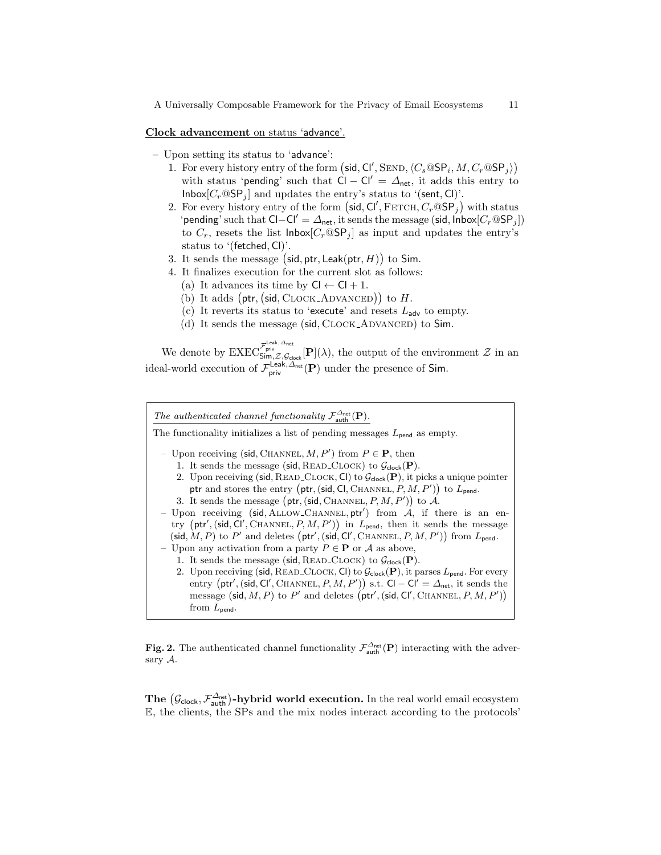A Universally Composable Framework for the Privacy of Email Ecosystems 11

Clock advancement on status 'advance'.

- Upon setting its status to 'advance':
	- 1. For every history entry of the form  $(\text{sid}, \text{Cl}', \text{SEND}, \langle C_s \text{QSP}_i, M, C_r \text{QSP}_j \rangle)$ with status 'pending' such that  $Cl - Cl' = \Delta_{net}$ , it adds this entry to  $\textsf{Inbox}[C_r@SP_i]$  and updates the entry's status to '(sent, Cl)'.
	- 2. For every history entry of the form  $(\text{sid}, \text{Cl}', \text{FETCH}, C_r \text{QSP}_j)$  with status 'pending' such that  $Cl-Cl' = \Delta_{\text{net}}$ , it sends the message (sid, Inbox $[C_r@SP_j]$ ) to  $C_r$ , resets the list Inbox $[C_r@SP_j]$  as input and updates the entry's status to '(fetched, Cl)'.
	- 3. It sends the message  $(\text{sid}, \text{ptr}, \text{Leak}(\text{ptr}, H))$  to Sim.
	- 4. It finalizes execution for the current slot as follows:
		- (a) It advances its time by  $Cl \leftarrow Cl + 1$ .
		- (b) It adds  $(\text{ptr}, (\text{sid}, \text{CLOCK}\_\text{ADVANCED}))$  to  $H$ .
		- (c) It reverts its status to 'execute' and resets  $L_{adv}$  to empty.
		- (d) It sends the message  $(\text{sid}, \text{CLOCK}\_\text{ADVANCED})$  to  $\text{Sim}$ .

We denote by  $\operatorname{EXEC}_{\mathsf{Sim},\mathcal{Z},\mathcal{G}_{\text{clock}}}^{\mathcal{F}_{\text{pair}}^{\text{leak},\Delta_{\text{net}}}}[\mathbf{P}](\lambda)$ , the output of the environment  $\mathcal{Z}$  in an ideal-world execution of  $\mathcal{F}_{\text{priv}}^{\text{Leak},\Delta_{\text{net}}}(\mathbf{P})$  under the presence of Sim.

The authenticated channel functionality  $\mathcal{F}^{\Delta_{\text{net}}}_{\text{auth}}(\mathbf{P}).$ The functionality initializes a list of pending messages  $L_{\text{pend}}$  as empty. - Upon receiving (sid, CHANNEL,  $M, P'$ ) from  $P \in \mathbf{P}$ , then 1. It sends the message (sid, READ\_CLOCK) to  $\mathcal{G}_{clock}(\mathbf{P})$ . 2. Upon receiving (sid, READ\_CLOCK, Cl) to  $\mathcal{G}_{clock}(\mathbf{P})$ , it picks a unique pointer ptr and stores the entry (ptr, (sid, Cl, CHANNEL,  $P, M, P'$ ) to  $L_{\text{pend}}$ . 3. It sends the message  $(\text{ptr}, (\text{sid}, \text{CHANNEL}, P, M, P'))$  to  $\mathcal{A}$ . - Upon receiving (sid, ALLOW\_CHANNEL, ptr') from  $\mathcal{A}$ , if there is an entry  $(\text{ptr}', (\text{sid}, \text{Cl}', \text{CHANNEL}, P, M, P'))$  in  $L_{\text{pend}}$ , then it sends the message  $(\mathsf{sid}, M, P)$  to P' and deletes  $(\mathsf{ptr}', (\mathsf{sid}, \mathsf{Cl}', \mathsf{CHANNEL}, P, M, P'))$  from  $L_{\mathsf{pend}}$ . – Upon any activation from a party  $P \in \mathbf{P}$  or A as above, 1. It sends the message (sid, READ\_CLOCK) to  $\mathcal{G}_{clock}(\mathbf{P})$ . 2. Upon receiving (sid, READ\_CLOCK, Cl) to  $\mathcal{G}_{clock}(\mathbf{P})$ , it parses  $L_{pend}$ . For every entry (ptr', (sid, Cl', CHANNEL, P, M, P')) s.t.  $Cl - Cl' = \Delta_{net}$ , it sends the message (sid, M, P) to P' and deletes  $(\text{ptr}', (\text{sid}, \text{Cl}', \text{CHANNEL}, P, M, P'))$ from  $L_{\mathsf{pend}}$ .

<span id="page-11-0"></span>Fig. 2. The authenticated channel functionality  $\mathcal{F}^{\Delta_{\text{net}}}_{\text{auth}}(P)$  interacting with the adversary  $A$ .

The  $(\mathcal{G}_{\mathsf{clock}}, \mathcal{F}_{\mathsf{auth}}^{\Delta_{\mathsf{net}}})$ -hybrid world execution. In the real world email ecosystem E, the clients, the SPs and the mix nodes interact according to the protocols'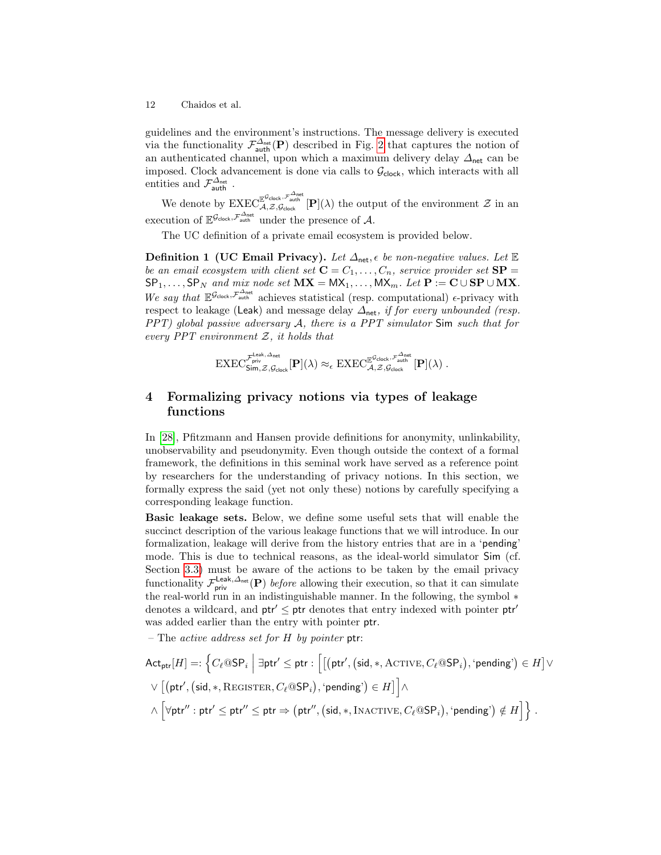guidelines and the environment's instructions. The message delivery is executed via the functionality  $\mathcal{F}_{\text{auth}}^{\Delta_{\text{net}}}(\mathbf{P})$  described in Fig. [2](#page-11-0) that captures the notion of an authenticated channel, upon which a maximum delivery delay  $\Delta_{\text{net}}$  can be imposed. Clock advancement is done via calls to  $\mathcal{G}_{clock}$ , which interacts with all entities and  $\mathcal{F}^{\Delta_{\text{net}}}_{\text{auth}}$ .

We denote by  $\operatorname{EXEC}_{\mathcal{A},\mathcal{Z},\mathcal{G}_{\text{clock}}}^{\mathbb{E}^{\mathcal{G}_{\text{clock}}},\mathcal{F}_{\text{anti}}^{\mathcal{A}_{\text{net}}} } [\mathbf{P}](\lambda)$  the output of the environment  $\mathcal{Z}$  in an execution of  $\mathbb{E}^{\mathcal{G}_{\text{clock}}, \mathcal{F}_{\text{auth}}^{\Delta_{\text{net}}} }$  under the presence of A.

The UC definition of a private email ecosystem is provided below.

Definition 1 (UC Email Privacy). Let  $\Delta_{\text{net}}$ ,  $\epsilon$  be non-negative values. Let  $\mathbb E$ be an email ecosystem with client set  $\mathbf{C} = C_1, \ldots, C_n$ , service provider set  $\mathbf{SP} =$  $SP_1, \ldots, SP_N$  and mix node set  $MX = MX_1, \ldots, MX_m$ . Let  $P := C \cup SP \cup MX$ . We say that  $\mathbb{E}^{\mathcal{G}_{\text{clock}},\mathcal{F}_{\text{auth}}^{\Delta_{\text{net}}} }$  achieves statistical (resp. computational)  $\epsilon$ -privacy with respect to leakage (Leak) and message delay  $\Delta_{\text{net}}$ , if for every unbounded (resp.  $PPT$ ) global passive adversary  $A$ , there is a  $PPT$  simulator  $Sim$  such that for every PPT environment  $Z$ , it holds that

$$
\mathrm{EXEC}^{\mathcal{F}^{\mathrm{leak},\Delta_{\mathrm{net}}}_{\mathsf{Sim},\mathcal{Z},\mathcal{G}_{\mathrm{clock}}}[ \mathbf{P} ] (\lambda) \approx_{\epsilon} \mathrm{EXEC}^{\mathbb{E}^{\mathcal{G}_{\mathrm{clock}},\mathcal{F}_{\mathrm{auth}}^{\mathbb{Z}_{\mathrm{other}}}}_{\mathcal{A},\mathcal{Z},\mathcal{G}_{\mathrm{clock}}}[ \mathbf{P} ] (\lambda) ~.
$$

## <span id="page-12-0"></span>4 Formalizing privacy notions via types of leakage functions

In [\[28\]](#page-32-9), Pfitzmann and Hansen provide definitions for anonymity, unlinkability, unobservability and pseudonymity. Even though outside the context of a formal framework, the definitions in this seminal work have served as a reference point by researchers for the understanding of privacy notions. In this section, we formally express the said (yet not only these) notions by carefully specifying a corresponding leakage function.

Basic leakage sets. Below, we define some useful sets that will enable the succinct description of the various leakage functions that we will introduce. In our formalization, leakage will derive from the history entries that are in a 'pending' mode. This is due to technical reasons, as the ideal-world simulator Sim (cf. Section [3.3\)](#page-7-1) must be aware of the actions to be taken by the email privacy functionality  $\mathcal{F}_{\text{priv}}^{\text{Leak},\Delta_{\text{net}}}(\mathbf{P})$  before allowing their execution, so that it can simulate the real-world run in an indistinguishable manner. In the following, the symbol  $*$ denotes a wildcard, and  $\mathsf{ptr}' \leq \mathsf{ptr}$  denotes that entry indexed with pointer  $\mathsf{ptr}'$ was added earlier than the entry with pointer ptr.

– The active address set for  $H$  by pointer ptr:

$$
\begin{aligned} &\mathsf{Act}_{\mathsf{ptr}}[H]=:\left\{C_\ell @\mathsf{SP}_i \;\Big|\; \exists \mathsf{ptr'}\leq \mathsf{ptr}: \Big[\big[(\mathsf{ptr'},\big(\mathsf{sid},\ast,\mathrm{ACTIVE},C_\ell @\mathsf{SP}_i\big),\text{'pending'})\in H\big]\vee\\ &\vee\big[(\mathsf{ptr'},\big(\mathsf{sid},\ast,\mathrm{REGISTER},C_\ell @\mathsf{SP}_i\big),\text{'pending'})\in H\big]\Big]\wedge\\ &\wedge\Big[\forall \mathsf{ptr''}:\mathsf{ptr'}\leq \mathsf{ptr''}\leq \mathsf{ptr}\Rightarrow \big(\mathsf{ptr''},\big(\mathsf{sid},\ast,\mathrm{INACTIVE},C_\ell @\mathsf{SP}_i\big),\text{'pending')}\notin H\Big]\Big\}\;. \end{aligned}
$$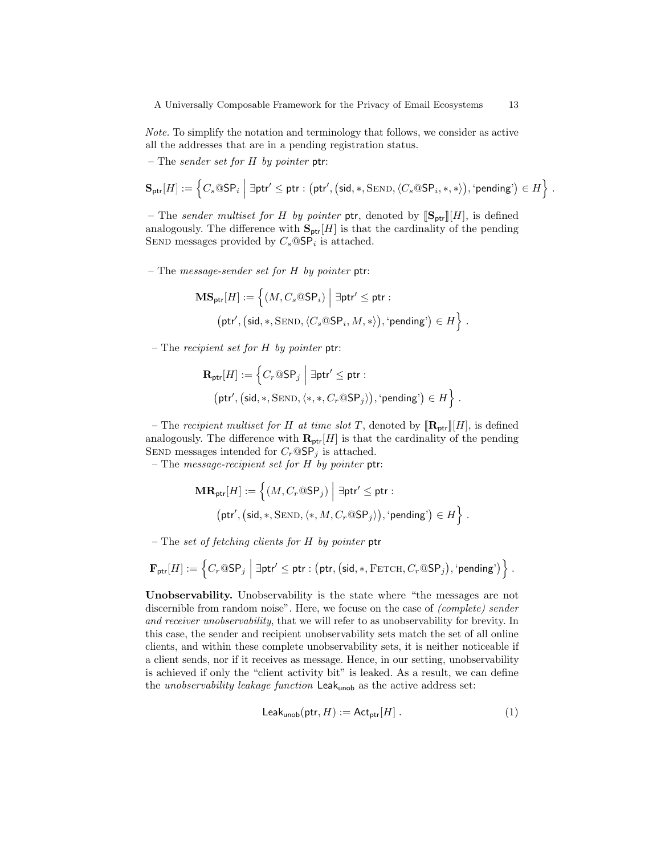Note. To simplify the notation and terminology that follows, we consider as active all the addresses that are in a pending registration status.

– The sender set for  $H$  by pointer ptr:

$$
\mathbf{S}_{\mathsf{ptr}}[H] := \left\{C_s @ \mathsf{SP}_i \;\Big|\; \exists \mathsf{ptr'}\leq \mathsf{ptr}: \big(\mathsf{ptr'}, \big(\mathsf{sid}, *, \mathsf{SEND}, \langle C_s @ \mathsf{SP}_i, *, *\rangle\big), \text{ 'pending') } \in H\right\}\,.
$$

– The sender multiset for H by pointer ptr, denoted by  $[\mathbf{S}_{\text{ptr}}][H]$ , is defined analogously. The difference with  $S_{\text{ptr}}[H]$  is that the cardinality of the pending SEND messages provided by  $C_s@{\sf SP}_i$  is attached.

– The message-sender set for  $H$  by pointer ptr:

$$
\begin{aligned} \mathbf{MS}_{\mathsf{ptr}}[H] &:= \left\{ (M, C_s @ \mathsf{SP}_i) \; \middle| \; \exists \mathsf{ptr'} \leq \mathsf{ptr} : \\ & (\mathsf{ptr'}, (\mathsf{sid}, \ast, \mathsf{SEND}, \langle C_s @ \mathsf{SP}_i, M, \ast \rangle), \text{'pending'}) \in H \right\}. \end{aligned}
$$

– The recipient set for  $H$  by pointer ptr:

$$
\mathbf{R}_{\mathsf{ptr}}[H] := \left\{ C_r @ \mathsf{SP}_j \; \middle| \; \exists \mathsf{ptr'} \leq \mathsf{ptr} : \\ (\mathsf{ptr'}, \left( \mathsf{sid}, \ast, \mathsf{SEND}, \langle \ast, \ast, C_r @ \mathsf{SP}_j \rangle \right), \forall \mathsf{pending'} \right) \in H \right\}.
$$

– The recipient multiset for H at time slot T, denoted by  $[\mathbf{R}_{\text{ptr}}][H]$ , is defined analogously. The difference with  $\mathbf{R}_{\text{ptr}}[H]$  is that the cardinality of the pending SEND messages intended for  $C_r@{\sf SP}_i$  is attached.

– The message-recipient set for  $H$  by pointer ptr:

$$
\mathbf{MR}_{\mathsf{ptr}}[H] := \left\{ (M, C_r @ \mathsf{SP}_j) \middle| \exists \mathsf{ptr'} \leq \mathsf{ptr} : \right.
$$
  

$$
(\mathsf{ptr'}, (\mathsf{sid}, *, \mathsf{SEND}, \langle *, M, C_r @ \mathsf{SP}_j \rangle), \mathsf{'pending'}) \in H \right\}.
$$

– The set of fetching clients for  $H$  by pointer ptr

$$
\mathbf{F}_{\mathsf{ptr}}[H] := \left\{ C_r @ \mathsf{SP}_j \; \Big| \; \exists \mathsf{ptr'} \leq \mathsf{ptr}: \big(\mathsf{ptr}, \big(\mathsf{sid}, *, \mathsf{FETCH}, C_r @ \mathsf{SP}_j\big), \text{ 'pending')}\right\} \, .
$$

<span id="page-13-0"></span>Unobservability. Unobservability is the state where "the messages are not discernible from random noise". Here, we focuse on the case of *(complete) sender* and receiver unobservability, that we will refer to as unobservability for brevity. In this case, the sender and recipient unobservability sets match the set of all online clients, and within these complete unobservability sets, it is neither noticeable if a client sends, nor if it receives as message. Hence, in our setting, unobservability is achieved if only the "client activity bit" is leaked. As a result, we can define the *unobservability leakage function* Leak<sub>unob</sub> as the active address set:

<span id="page-13-1"></span>
$$
\mathsf{Leak}_{\mathsf{unob}}(\mathsf{ptr}, H) := \mathsf{Act}_{\mathsf{ptr}}[H] . \tag{1}
$$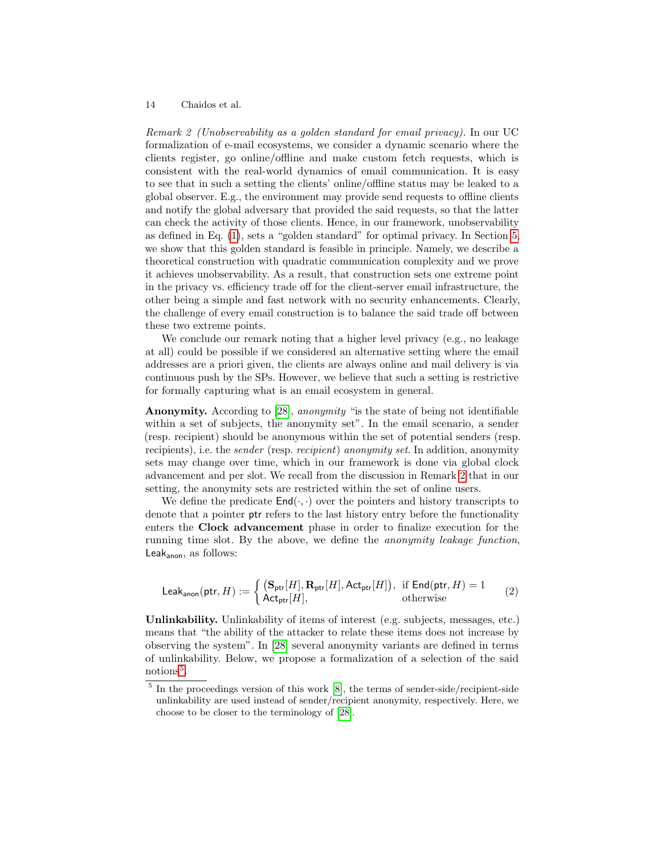Remark 2 (Unobservability as a golden standard for email privacy). In our UC formalization of e-mail ecosystems, we consider a dynamic scenario where the clients register, go online/offline and make custom fetch requests, which is consistent with the real-world dynamics of email communication. It is easy to see that in such a setting the clients' online/offline status may be leaked to a global observer. E.g., the environment may provide send requests to offline clients and notify the global adversary that provided the said requests, so that the latter can check the activity of those clients. Hence, in our framework, unobservability as defined in Eq. [\(1\)](#page-13-0), sets a "golden standard" for optimal privacy. In Section [5,](#page-17-0) we show that this golden standard is feasible in principle. Namely, we describe a theoretical construction with quadratic communication complexity and we prove it achieves unobservability. As a result, that construction sets one extreme point in the privacy vs. efficiency trade off for the client-server email infrastructure, the other being a simple and fast network with no security enhancements. Clearly, the challenge of every email construction is to balance the said trade off between these two extreme points.

We conclude our remark noting that a higher level privacy (e.g., no leakage at all) could be possible if we considered an alternative setting where the email addresses are a priori given, the clients are always online and mail delivery is via continuous push by the SPs. However, we believe that such a setting is restrictive for formally capturing what is an email ecosystem in general.

Anonymity. According to [\[28\]](#page-32-9), *anonymity* "is the state of being not identifiable within a set of subjects, the anonymity set". In the email scenario, a sender (resp. recipient) should be anonymous within the set of potential senders (resp. recipients), i.e. the sender (resp. recipient) anonymity set. In addition, anonymity sets may change over time, which in our framework is done via global clock advancement and per slot. We recall from the discussion in Remark [2](#page-13-1) that in our setting, the anonymity sets are restricted within the set of online users.

We define the predicate  $\text{End}(\cdot, \cdot)$  over the pointers and history transcripts to denote that a pointer ptr refers to the last history entry before the functionality enters the Clock advancement phase in order to finalize execution for the running time slot. By the above, we define the anonymity leakage function, Leakanon, as follows:

$$
\mathsf{Leak}_{\mathsf{anon}}(\mathsf{ptr}, H) := \begin{cases} (\mathbf{S}_{\mathsf{ptr}}[H], \mathbf{R}_{\mathsf{ptr}}[H], \mathsf{Act}_{\mathsf{ptr}}[H]), & \text{if } \mathsf{End}(\mathsf{ptr}, H) = 1\\ \mathsf{Act}_{\mathsf{ptr}}[H], & \text{otherwise} \end{cases} \tag{2}
$$

Unlinkability. Unlinkability of items of interest (e.g. subjects, messages, etc.) means that "the ability of the attacker to relate these items does not increase by observing the system". In [\[28\]](#page-32-9) several anonymity variants are defined in terms of unlinkability. Below, we propose a formalization of a selection of the said notions<sup>[5](#page-14-0)</sup>.

<span id="page-14-0"></span><sup>&</sup>lt;sup>5</sup> In the proceedings version of this work [\[8\]](#page-31-0), the terms of sender-side/recipient-side unlinkability are used instead of sender/recipient anonymity, respectively. Here, we choose to be closer to the terminology of [\[28\]](#page-32-9).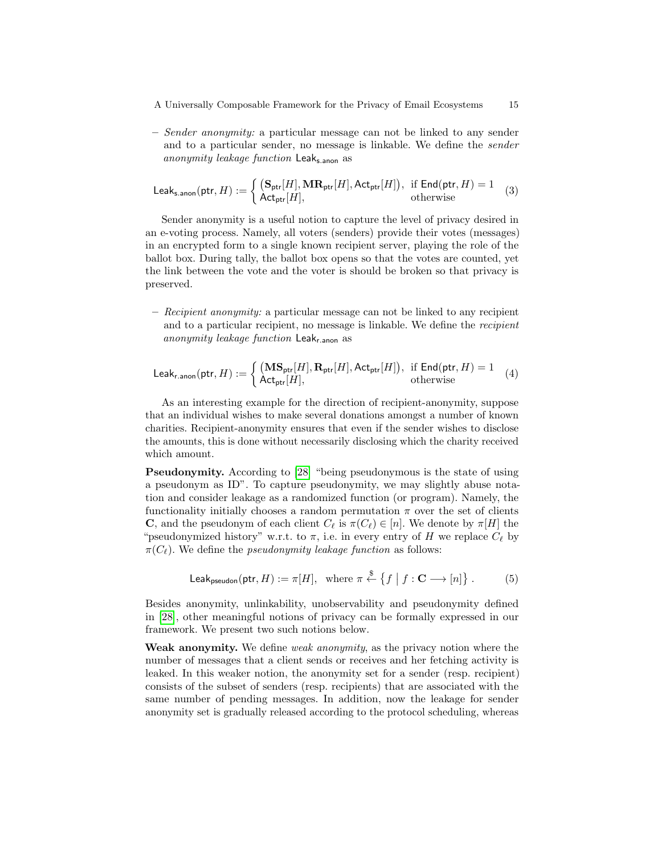- A Universally Composable Framework for the Privacy of Email Ecosystems 15
- Sender anonymity: a particular message can not be linked to any sender and to a particular sender, no message is linkable. We define the sender anonymity leakage function Leaks.anon as

$$
\mathsf{Leak}_{\mathsf{s.anon}}(\mathsf{ptr}, H) := \begin{cases} (\mathbf{S}_{\mathsf{ptr}}[H], \mathbf{MR}_{\mathsf{ptr}}[H], \mathsf{Act}_{\mathsf{ptr}}[H]), & \text{if } \mathsf{End}(\mathsf{ptr}, H) = 1\\ \mathsf{Act}_{\mathsf{ptr}}[H], & \text{otherwise} \end{cases} \tag{3}
$$

Sender anonymity is a useful notion to capture the level of privacy desired in an e-voting process. Namely, all voters (senders) provide their votes (messages) in an encrypted form to a single known recipient server, playing the role of the ballot box. During tally, the ballot box opens so that the votes are counted, yet the link between the vote and the voter is should be broken so that privacy is preserved.

– Recipient anonymity: a particular message can not be linked to any recipient and to a particular recipient, no message is linkable. We define the recipient anonymity leakage function  $\textsf{Leak}_{\textsf{r.anon}}$  as

$$
\mathsf{Leak}_{\mathsf{r.anon}}(\mathsf{ptr}, H) := \begin{cases} (\mathbf{MS}_{\mathsf{ptr}}[H], \mathbf{R}_{\mathsf{ptr}}[H], \mathsf{Act}_{\mathsf{ptr}}[H]), & \text{if } \mathsf{End}(\mathsf{ptr}, H) = 1\\ \mathsf{Act}_{\mathsf{ptr}}[H], & \text{otherwise} \end{cases} \tag{4}
$$

As an interesting example for the direction of recipient-anonymity, suppose that an individual wishes to make several donations amongst a number of known charities. Recipient-anonymity ensures that even if the sender wishes to disclose the amounts, this is done without necessarily disclosing which the charity received which amount.

Pseudonymity. According to [\[28\]](#page-32-9) "being pseudonymous is the state of using a pseudonym as ID". To capture pseudonymity, we may slightly abuse notation and consider leakage as a randomized function (or program). Namely, the functionality initially chooses a random permutation  $\pi$  over the set of clients **C**, and the pseudonym of each client  $C_{\ell}$  is  $\pi(C_{\ell}) \in [n]$ . We denote by  $\pi[H]$  the "pseudonymized history" w.r.t. to  $\pi$ , i.e. in every entry of H we replace  $C_{\ell}$  by  $\pi(C_{\ell})$ . We define the *pseudonymity leakage function* as follows:

$$
\mathsf{Leak}_{\mathsf{pseudo}n}(\mathsf{ptr}, H) := \pi[H], \text{ where } \pi \stackrel{\$}{\leftarrow} \{f \mid f : \mathbf{C} \longrightarrow [n]\} \,. \tag{5}
$$

Besides anonymity, unlinkability, unobservability and pseudonymity defined in [\[28\]](#page-32-9), other meaningful notions of privacy can be formally expressed in our framework. We present two such notions below.

Weak anonymity. We define weak anonymity, as the privacy notion where the number of messages that a client sends or receives and her fetching activity is leaked. In this weaker notion, the anonymity set for a sender (resp. recipient) consists of the subset of senders (resp. recipients) that are associated with the same number of pending messages. In addition, now the leakage for sender anonymity set is gradually released according to the protocol scheduling, whereas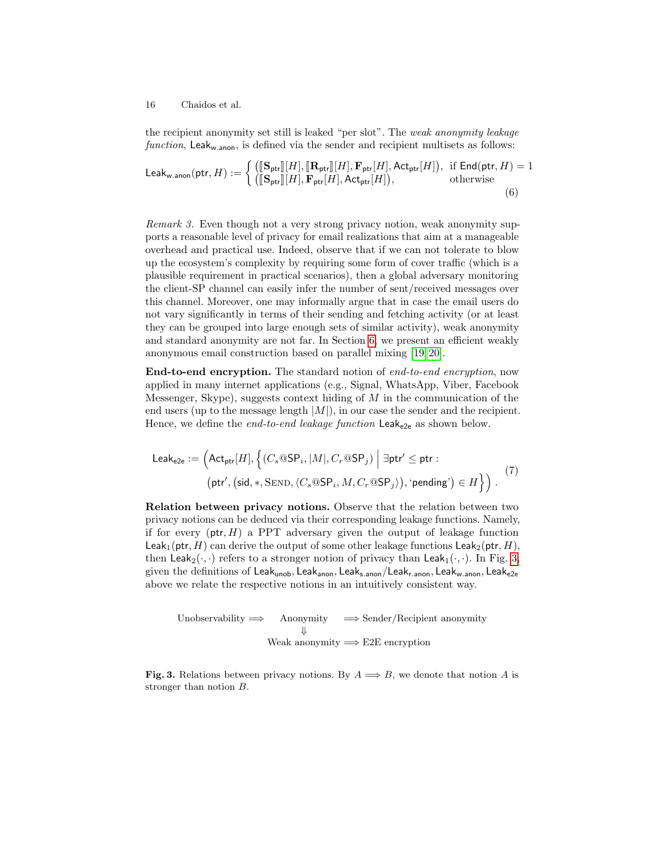the recipient anonymity set still is leaked "per slot". The weak anonymity leakage function, Leak<sub>w.anon</sub>, is defined via the sender and recipient multisets as follows:

<span id="page-16-1"></span>
$$
\mathsf{Leak}_{\mathsf{w}.\mathsf{anon}}(\mathsf{ptr}, H) := \begin{cases} ([\mathbb{S}_{\mathsf{ptr}}][H], [\mathbb{R}_{\mathsf{ptr}}][H], \mathbf{F}_{\mathsf{ptr}}[H], \mathsf{Act}_{\mathsf{ptr}}[H]), \text{ if } \mathsf{End}(\mathsf{ptr}, H) = 1 \\ ([\mathbb{S}_{\mathsf{ptr}}][H], \mathbf{F}_{\mathsf{ptr}}[H], \mathsf{Act}_{\mathsf{ptr}}[H]), \end{cases} \text{ otherwise } (6)
$$

Remark 3. Even though not a very strong privacy notion, weak anonymity supports a reasonable level of privacy for email realizations that aim at a manageable overhead and practical use. Indeed, observe that if we can not tolerate to blow up the ecosystem's complexity by requiring some form of cover traffic (which is a plausible requirement in practical scenarios), then a global adversary monitoring the client-SP channel can easily infer the number of sent/received messages over this channel. Moreover, one may informally argue that in case the email users do not vary significantly in terms of their sending and fetching activity (or at least they can be grouped into large enough sets of similar activity), weak anonymity and standard anonymity are not far. In Section [6,](#page-24-0) we present an efficient weakly anonymous email construction based on parallel mixing [\[19,](#page-32-10) [20\]](#page-32-18).

End-to-end encryption. The standard notion of end-to-end encryption, now applied in many internet applications (e.g., Signal, WhatsApp, Viber, Facebook Messenger, Skype), suggests context hiding of  $M$  in the communication of the end users (up to the message length  $|M|$ ), in our case the sender and the recipient. Hence, we define the *end-to-end leakage function*  $\text{Leak}_{e2e}$  as shown below.

$$
\mathsf{Leak}_{e2e} := \left(\mathsf{Act}_{\mathsf{ptr}}[H], \left\{ (C_s @ \mathsf{SP}_i, |M|, C_r @ \mathsf{SP}_j) \; \middle| \; \exists \mathsf{ptr}' \leq \mathsf{ptr} : \\ (\mathsf{ptr}', (\mathsf{sid}, *, \mathsf{SEND}, \langle C_s @ \mathsf{SP}_i, M, C_r @ \mathsf{SP}_j \rangle), \langle \mathsf{pending} \rangle) \in H \right\} \right). \tag{7}
$$

Relation between privacy notions. Observe that the relation between two privacy notions can be deduced via their corresponding leakage functions. Namely, if for every  $(\text{ptr}, H)$  a PPT adversary given the output of leakage function Leak<sub>1</sub>(ptr, H) can derive the output of some other leakage functions Leak<sub>2</sub>(ptr, H), then Leak<sub>2</sub>( $\cdot$ ,  $\cdot$ ) refers to a stronger notion of privacy than Leak<sub>1</sub>( $\cdot$ ,  $\cdot$ ). In Fig. [3,](#page-16-0) given the definitions of Leak<sub>unob</sub>, Leak<sub>anon</sub>, Leak<sub>s.anon</sub>/Leak<sub>r.anon</sub>, Leak<sub>w.anon</sub>, Leak<sub>e2e</sub> above we relate the respective notions in an intuitively consistent way.

Unobservability  $\implies$  Anonymity  $\implies$  Sender/Recipient anonymity ⇓ Weak anonymity  $\Longrightarrow$  E2E encryption

<span id="page-16-0"></span>**Fig. 3.** Relations between privacy notions. By  $A \implies B$ , we denote that notion A is stronger than notion  $B$ .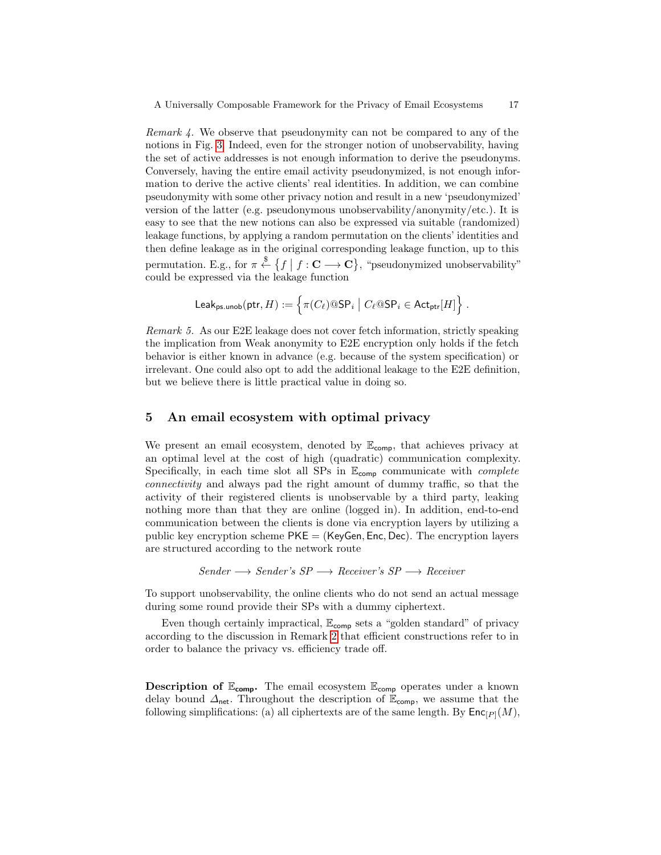Remark 4. We observe that pseudonymity can not be compared to any of the notions in Fig. [3.](#page-16-0) Indeed, even for the stronger notion of unobservability, having the set of active addresses is not enough information to derive the pseudonyms. Conversely, having the entire email activity pseudonymized, is not enough information to derive the active clients' real identities. In addition, we can combine pseudonymity with some other privacy notion and result in a new 'pseudonymized' version of the latter (e.g. pseudonymous unobservability/anonymity/etc.). It is easy to see that the new notions can also be expressed via suitable (randomized) leakage functions, by applying a random permutation on the clients' identities and then define leakage as in the original corresponding leakage function, up to this permutation. E.g., for  $\pi \stackrel{\$}{\leftarrow} \{f \mid f : \mathbf{C} \longrightarrow \mathbf{C}\},\$  "pseudonymized unobservability" could be expressed via the leakage function

$$
\mathsf{Leak}_{\mathsf{ps.unob}}(\mathsf{ptr},H) := \left\{ \pi(C_{\ell})@{\sf SP}_i \mid C_{\ell}@{\sf SP}_i \in \mathsf{Act}_{\mathsf{ptr}}[H] \right\}.
$$

Remark 5. As our E2E leakage does not cover fetch information, strictly speaking the implication from Weak anonymity to E2E encryption only holds if the fetch behavior is either known in advance (e.g. because of the system specification) or irrelevant. One could also opt to add the additional leakage to the E2E definition, but we believe there is little practical value in doing so.

## <span id="page-17-0"></span>5 An email ecosystem with optimal privacy

We present an email ecosystem, denoted by  $\mathbb{E}_{\text{comp}}$ , that achieves privacy at an optimal level at the cost of high (quadratic) communication complexity. Specifically, in each time slot all SPs in  $\mathbb{E}_{\text{comp}}$  communicate with *complete* connectivity and always pad the right amount of dummy traffic, so that the activity of their registered clients is unobservable by a third party, leaking nothing more than that they are online (logged in). In addition, end-to-end communication between the clients is done via encryption layers by utilizing a public key encryption scheme  $PKE = (KeyGen, Enc, Dec)$ . The encryption layers are structured according to the network route

$$
Sender \longrightarrowSender's \; SP \longrightarrow Receiver's \; SP \longrightarrow Receiver
$$

To support unobservability, the online clients who do not send an actual message during some round provide their SPs with a dummy ciphertext.

Even though certainly impractical,  $\mathbb{E}_{\text{comp}}$  sets a "golden standard" of privacy according to the discussion in Remark [2](#page-13-1) that efficient constructions refer to in order to balance the privacy vs. efficiency trade off.

**Description of**  $\mathbb{E}_{\text{comp}}$ **.** The email ecosystem  $\mathbb{E}_{\text{comp}}$  operates under a known delay bound  $\Delta_{\text{net}}$ . Throughout the description of  $\mathbb{E}_{\text{comp}}$ , we assume that the following simplifications: (a) all ciphertexts are of the same length. By  $\mathsf{Enc}_{[P]}(M)$ ,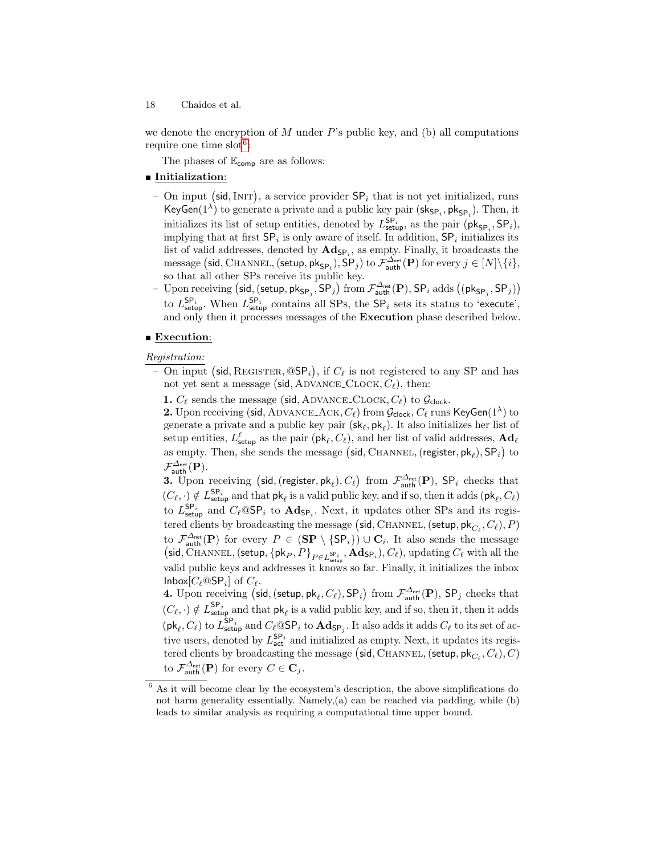we denote the encryption of  $M$  under  $P$ 's public key, and (b) all computations require one time  $slot^6$  $slot^6$ :

The phases of  $\mathbb{E}_{\text{comp}}$  are as follows:

## **I**nitialization:

- On input (sid, INIT), a service provider  $\mathsf{SP}_i$  that is not yet initialized, runs KeyGen( $1^{\lambda}$ ) to generate a private and a public key pair ( $\mathsf{sk}_{\mathsf{SP}_i}, \mathsf{pk}_{\mathsf{SP}_i}$ ). Then, it initializes its list of setup entities, denoted by  $L_{\text{setup}}^{\text{SP}_i}$ , as the pair  $(\text{pk}_{\text{SP}_i}, \text{SP}_i)$ , implying that at first  $\mathsf{SP}_i$  is only aware of itself. In addition,  $\mathsf{SP}_i$  initializes its list of valid addresses, denoted by  $\mathbf{Ad}_{\mathsf{SP}_i}$ , as empty. Finally, it broadcasts the  $\text{message (sid, CHANNEL},(\text{setup}, \text{pk}_{\text{SP}_i}), \text{SP}_j) \text{ to } \mathcal{F}^{\Delta_\text{net}}_\text{auth}(\textbf{P}) \text{ for every } j \in [N] \backslash \{i\},$ so that all other SPs receive its public key.
- Upon receiving  $\left(\mathsf{sid},\left(\mathsf{setup},\mathsf{pk}_{\mathsf{SP}_j},\mathsf{SP}_j\right)\mathsf{from}\right. \mathcal{F}^{\Delta_\mathsf{net}}_\mathsf{auth}(\mathbf{P}),\mathsf{SP}_i\; \mathsf{adds}\left(\left(\mathsf{pk}_{\mathsf{SP}_j},\mathsf{SP}_j\right)\right)$ to  $L_{\text{setup}}^{\text{SP}_i}$ . When  $L_{\text{setup}}^{\text{SP}_i}$  contains all SPs, the SP<sub>i</sub> sets its status to 'execute', and only then it processes messages of the Execution phase described below.

## **Execution:**

#### Registration:

- $\overline{\phantom{a}}$  On input (sid, REGISTER, QSP<sub>i</sub>), if  $C_{\ell}$  is not registered to any SP and has not yet sent a message (sid, ADVANCE\_CLOCK,  $C_{\ell}$ ), then:
	- 1.  $C_{\ell}$  sends the message (sid, ADVANCE\_CLOCK,  $C_{\ell}$ ) to  $\mathcal{G}_{\text{clock}}$ .

2. Upon receiving (sid, ADVANCE\_ACK,  $C_{\ell}$ ) from  $\mathcal{G}_{\text{clock}}, C_{\ell}$  runs KeyGen(1<sup> $\lambda$ </sup>) to generate a private and a public key pair  $(\mathsf{sk}_\ell, \mathsf{pk}_\ell)$ . It also initializes her list of setup entities,  $L^{\ell}_{\text{setup}}$  as the pair  $(\mathsf{pk}_{\ell}, C_{\ell})$ , and her list of valid addresses,  $\mathbf{Ad}_{\ell}$ as empty. Then, she sends the message (sid, CHANNEL, (register,  $\mathsf{pk}_\ell$ ),  $\mathsf{SP}_i)$  to  $\mathcal{F}^{\mathcal{\Delta}_{\mathsf{net}}}_{\mathsf{auth}}(\mathbf{P}).$ 

3. Upon receiving (sid, (register,  $pk_{\ell}$ ),  $C_{\ell}$ ) from  $\mathcal{F}_{\mathsf{auth}}^{\Delta_{\mathsf{net}}}(\mathbf{P}),$  SP<sub>i</sub> checks that  $(C_{\ell},\cdot) \notin L_{\text{setup}}^{\text{SP}_{i}}$  and that  $\mathsf{pk}_{\ell}$  is a valid public key, and if so, then it adds  $(\mathsf{pk}_{\ell}, C_{\ell})$ to  $L_{\text{setup}}^{\text{SP}_i}$  and  $C_{\ell}$  QSP<sub>i</sub> to  $\text{Ad}_{\text{SP}_i}$ . Next, it updates other SPs and its registered clients by broadcasting the message (sid, CHANNEL, (setup,  $\mathsf{pk}_{C_{\ell}}, C_{\ell}$ ),  $P$ ) to  $\mathcal{F}^{\Delta_{\text{net}}}_{\text{auth}}(P)$  for every  $P \in (\mathbf{SP} \setminus \{\mathsf{SP}_i\}) \cup C_i$ . It also sends the message (sid, CHANNEL, (setup,  $\{pk_p, P\}_{P \in L_{\text{setup}}^{\text{SP}_i}}, \mathbf{Ad}_{\text{SP}_i}, C_\ell$ ), updating  $C_\ell$  with all the valid public keys and addresses it knows so far. Finally, it initializes the inbox  $\mathsf{Inbox}[C_{\ell} \mathsf{QSP}_i]$  of  $C_{\ell}$ .

4. Upon receiving (sid, (setup,  $pk_{\ell}, C_{\ell}$ ), SP<sub>i</sub>) from  $\mathcal{F}_{\text{auth}}^{\Delta_{\text{net}}}(\textbf{P}),$  SP<sub>j</sub> checks that  $(C_{\ell},\cdot) \notin L_{\text{setup}}^{\text{SP}_j}$  and that  $\mathsf{pk}_{\ell}$  is a valid public key, and if so, then it, then it adds  $(pk_{\ell}, C_{\ell})$  to  $L_{\text{setup}}^{\text{SP}_j}$  and  $C_{\ell}$  QSP<sub>i</sub> to  $\text{Ad}_{\text{SP}_j}$ . It also adds it adds  $C_{\ell}$  to its set of active users, denoted by  $L_{\text{act}}^{\text{SP}_i}$  and initialized as empty. Next, it updates its registered clients by broadcasting the message (sid, CHANNEL, (setup,  $\mathsf{pk}_{C_{\ell}}, C_{\ell}$ ),  $C$ ) to  $\mathcal{F}^{\Delta_{\mathsf{net}}}_{\mathsf{auth}}(\mathbf{P})$  for every  $C \in \mathbf{C}_j$ .

<span id="page-18-0"></span> $^6$  As it will become clear by the ecosystem's description, the above simplifications do not harm generality essentially. Namely,(a) can be reached via padding, while (b) leads to similar analysis as requiring a computational time upper bound.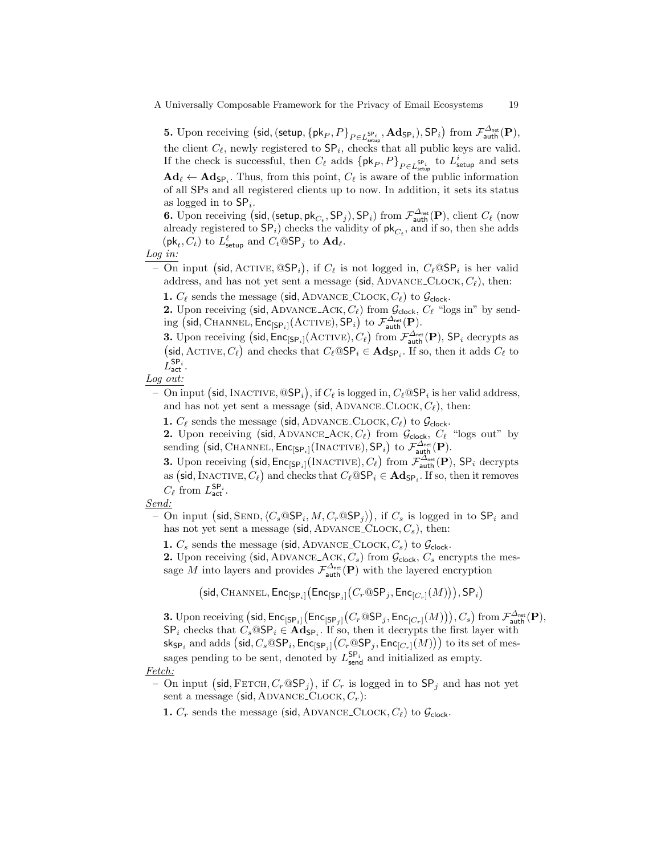A Universally Composable Framework for the Privacy of Email Ecosystems 19

**5.** Upon receiving (sid, (setup,  $\{pk_p, P\}_{P \in L_{\text{set}(n)}^{\text{SP}_i}}$ ,  $Ad_{SP_i}$ ),  $SP_i$ ) from  $\mathcal{F}_{\text{auth}}^{\Delta_{\text{net}}}(\mathbf{P})$ , the client  $C_{\ell}$ , newly registered to  $\mathsf{SP}_i$ , checks that all public keys are valid. If the check is successful, then  $C_{\ell}$  adds  $\{pk_P, P\}_{P\in L_{\text{setup}}^{\text{SP}_i}}$  to  $L_{\text{setup}}^i$  and sets  $\mathbf{Ad}_{\ell} \leftarrow \mathbf{Ad}_{\mathsf{SP}_i}$ . Thus, from this point,  $C_{\ell}$  is aware of the public information of all SPs and all registered clients up to now. In addition, it sets its status as logged in to  $SP_i$ .

**6.** Upon receiving (sid, (setup,  $pk_{C_t}$ ,  $SP_j$ ),  $SP_i$ ) from  $\mathcal{F}^{\Delta_{net}}_{auth}(P)$ , client  $C_{\ell}$  (now already registered to  $\mathsf{SP}_i$ ) checks the validity of  $\mathsf{pk}_{C_t}$ , and if so, then she adds  $(\mathsf{pk}_t, C_t)$  to  $L^{\ell}_{\mathsf{setup}}$  and  $C_t \mathsf{QSP}_j$  to  $\mathbf{Ad}_{\ell}$ .

- Log in:
- $\overline{\phantom{a}}$  On input (sid, ACTIVE, QSP<sub>i</sub>), if  $C_{\ell}$  is not logged in,  $C_{\ell}$  QSP<sub>i</sub> is her valid address, and has not yet sent a message (sid, ADVANCE\_CLOCK,  $C_{\ell}$ ), then:
	- 1.  $C_{\ell}$  sends the message (sid, ADVANCE\_CLOCK,  $C_{\ell}$ ) to  $\mathcal{G}_{\text{clock}}$ .
	- **2.** Upon receiving (sid, ADVANCE\_ACK,  $C_{\ell}$ ) from  $\mathcal{G}_{clock}$ ,  $C_{\ell}$  "logs in" by sending (sid, CHANNEL,  $\mathsf{Enc}_{[\mathsf{SP}_i]}(\mathrm{ACTIVE}), \mathsf{SP}_i)$  to  $\mathcal{F}^{\Delta_\mathsf{net}}_\mathsf{auth}(\mathbf{P})$ .

**3.** Upon receiving (sid,  $Enc_{[SP_i]}(ACTIVE), C_{\ell}$ ) from  $\mathcal{F}_{\mathsf{auth}}^{\Delta_{\mathsf{net}}}(\mathbf{P}),$  SP<sub>i</sub> decrypts as (sid, ACTIVE,  $C_{\ell}$ ) and checks that  $C_{\ell}$ <sup>®</sup>SP<sub>i</sub>  $\in$  **Ad**<sub>SP<sub>i</sub></sub>. If so, then it adds  $C_{\ell}$  to  $L_{\mathsf{act}}^{\mathsf{SP}_i}.$ 

Log out:

- $\overline{\phantom{x}}$  On input (sid, INACTIVE, @SP<sub>i</sub>), if  $C_{\ell}$  is logged in,  $C_{\ell}$ @SP<sub>i</sub> is her valid address, and has not yet sent a message (sid, ADVANCE CLOCK,  $C_{\ell}$ ), then:
	- 1.  $C_{\ell}$  sends the message (sid, ADVANCE\_CLOCK,  $C_{\ell}$ ) to  $\mathcal{G}_{\text{clock}}$ .

2. Upon receiving (sid, ADVANCE\_ACK,  $C_{\ell}$ ) from  $\mathcal{G}_{\text{clock}}$ ,  $C_{\ell}$  "logs out" by sending (sid, CHANNEL,  $\mathsf{Enc}_{[\mathsf{SP}_i]}(\text{INACTIVE}), \mathsf{SP}_i)$  to  $\mathcal{F}_{\mathsf{auth}}^{\Delta_{\mathsf{net}}}(\mathbf{P}).$ 

**3.** Upon receiving  $(\text{sid}, \text{Enc}_{[SP_i]}(\text{INACTIVE}), C_\ell)$  from  $\mathcal{F}_{\text{auth}}^{\Delta_{\text{net}}}(\textbf{P}), \text{SP}_i$  decrypts as (sid, INACTIVE,  $C_{\ell}$ ) and checks that  $C_{\ell} @{\sf SP}_i \in \mathbf{Ad}_{\mathsf{SP}_i}$ . If so, then it removes  $C_{\ell}$  from  $L_{\text{act}}^{\text{SP}_i}$ .



- On input (sid, SEND,  $\langle C_s \mathbb{QSP}_i, M, C_r \mathbb{QSP}_j \rangle$ ), if  $C_s$  is logged in to  $SP_i$  and has not yet sent a message (sid, ADVANCE CLOCK,  $C_s$ ), then:

1.  $C_s$  sends the message (sid, ADVANCE\_CLOCK,  $C_s$ ) to  $\mathcal{G}_{\text{clock}}$ .

2. Upon receiving (sid, ADVANCE ACK,  $C_s$ ) from  $\mathcal{G}_{\text{clock}}$ ,  $C_s$  encrypts the message M into layers and provides  $\mathcal{F}^{\Delta_{\text{net}}}_{\text{auth}}(\textbf{P})$  with the layered encryption

 $(\textsf{sid}, \textsf{CHANNEL}, \textsf{Enc}_{[\textsf{SP}_i]} \big(\textsf{Enc}_{[\textsf{SP}_j]} \big(C_r @ \textsf{SP}_j, \textsf{Enc}_{[C_r]}(M)\big)), \textsf{SP}_i\big)$ 

**3.** Upon receiving  $\big( \textsf{sid}, \textsf{Enc}_{[\mathsf{SP}_j]} \big( \mathsf{Enc}_{[\mathsf{SP}_j]}(C_r @ \mathsf{SP}_j, \textsf{Enc}_{[C_r]}(M) \big) \big), C_s \big) \textup{ from } \mathcal{F}_\mathsf{auth}^\mathsf{Anet}(\mathbf{P}),$  $\mathsf{SP}_i$  checks that  $C_s \mathbb{Q} \mathsf{SP}_i \in \mathbf{Ad}_{\mathsf{SP}_i}$ . If so, then it decrypts the first layer with  $\mathsf{sk}_{\mathsf{SP}_i}$  and adds  $\big( \mathsf{sid}, C_s@{\mathsf{SP}_i}, \mathsf{Enc}_{[\mathsf{SP}_j]} \big(C_r@{\mathsf{SP}_j}, \mathsf{Enc}_{[C_r]}(M) \big) \big)$  to its set of messages pending to be sent, denoted by  $L_{\text{send}}^{\text{SP}_i}$  and initialized as empty.

Fetch:

- On input (sid, FETCH,  $C_r$ <sup>®</sup>SP<sub>j</sub>), if  $C_r$  is logged in to SP<sub>j</sub> and has not yet sent a message (sid, ADVANCE\_CLOCK,  $C_r$ ):
	- 1.  $C_r$  sends the message (sid, ADVANCE\_CLOCK,  $C_{\ell}$ ) to  $\mathcal{G}_{\text{clock}}$ .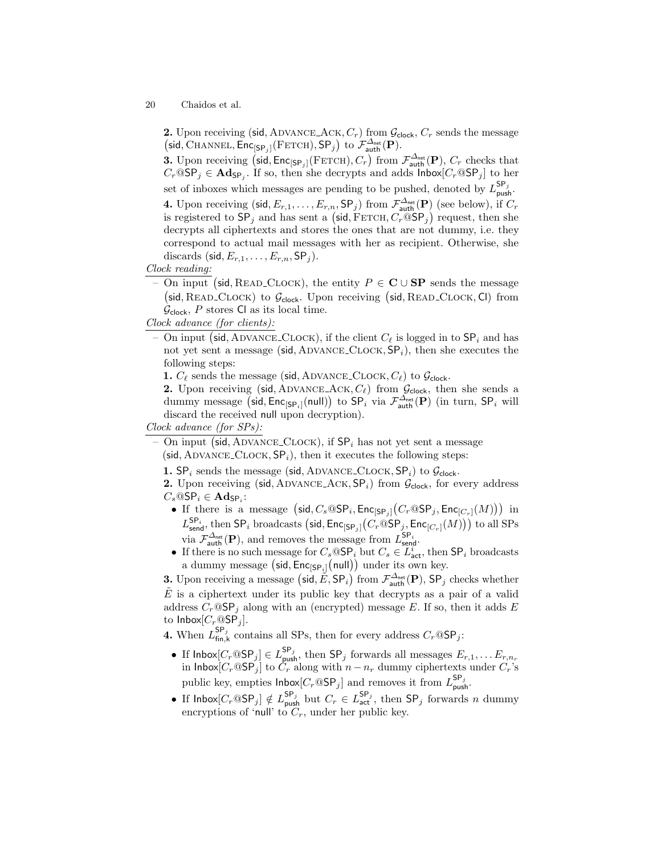**2.** Upon receiving (sid, ADVANCE\_ACK,  $C_r$ ) from  $\mathcal{G}_{clock}$ ,  $C_r$  sends the message  $(\text{sid}, \text{CHANNEL}, \text{Enc}_{\text{[SP}_j]}(\text{FETCH}), \text{SP}_j)$  to  $\mathcal{F}^{\Delta_\text{net}}_\text{auth}(\textbf{P})$ .

**3.** Upon receiving  $(\text{sid}, \text{Enc}_{\text{[SP}_j]}(\text{FETCH}), C_r)$  from  $\mathcal{F}_{\text{auth}}^{\Delta_{\text{net}}}(\textbf{P}), C_r$  checks that  $C_r@{\sf SP}_j \in \mathbf{Ad}_{\mathsf{SP}_j}$ . If so, then she decrypts and adds  $\mathsf{Inbox}[C_r@{\sf SP}_j]$  to her set of inboxes which messages are pending to be pushed, denoted by  $L_{\text{push}}^{\text{SP}_j}$ . 4. Upon receiving (sid,  $E_{r,1}, \ldots, E_{r,n}$ , SP<sub>j</sub>) from  $\mathcal{F}_{\mathsf{auth}}^{\Delta_{\mathsf{net}}}(\mathbf{P})$  (see below), if  $C_r$ is registered to  $\overline{\text{SP}_j}$  and has sent a (sid, FETCH,  $C_r \overset{\sim}{\otimes} \text{SP}_j$ ) request, then she decrypts all ciphertexts and stores the ones that are not dummy, i.e. they correspond to actual mail messages with her as recipient. Otherwise, she discards (sid,  $E_{r,1}, \ldots, E_{r,n}$ , SP<sub>j</sub>).

- Clock reading:
- On input (sid, READ\_CLOCK), the entity  $P \in \mathbb{C} \cup \mathbb{SP}$  sends the message (sid, READ\_CLOCK) to  $G_{clock}$ . Upon receiving (sid, READ\_CLOCK, Cl) from  $\mathcal{G}_{\text{clock}}$ , P stores Cl as its local time.
- Clock advance (for clients):
	- On input (sid, ADVANCE\_CLOCK), if the client  $C_{\ell}$  is logged in to  $\mathsf{SP}_i$  and has not yet sent a message (sid, ADVANCE\_CLOCK,  $SP_i$ ), then she executes the following steps:

1.  $C_{\ell}$  sends the message (sid, ADVANCE\_CLOCK,  $C_{\ell}$ ) to  $\mathcal{G}_{\text{clock}}$ .

2. Upon receiving (sid, ADVANCE\_ACK,  $C_{\ell}$ ) from  $\mathcal{G}_{\text{clock}}$ , then she sends a dummy message  $\bar{\textsf{(sid, Enc}}_{[\textsf{SP}_i]}(\textsf{null})\text{) to \textsf{SP}_i \text{ via } \mathcal{F}_\textsf{auth}^{\Delta_\textsf{net}}(\textbf{P}) \text{ (in turn, \textsf{SP}_i \text{ will} }$ discard the received null upon decryption).

Clock advance (for SPs):

- On input (sid, ADVANCE\_CLOCK), if  $\mathsf{SP}_i$  has not yet sent a message (sid, ADVANCE\_CLOCK,  $SP_i$ ), then it executes the following steps:
	- 1.  $SP_i$  sends the message (sid, ADVANCE\_CLOCK,  $SP_i$ ) to  $G_{clock}$ .
	- 2. Upon receiving (sid, ADVANCE\_ACK,  $SP_i$ ) from  $G_{clock}$ , for every address  $C_s@{\sf SP}_i\in {\bf Ad}_{\mathsf{SP}_i}\colon$ 
		- If there is a message  $(\text{sid}, C_s@SP_i, \text{Enc}_{[SP_j]}(C_r@SP_j, \text{Enc}_{[C_r]}(M)))$  in  $L_{\sf send}^{\sf SP_i}$ , then  $\sf SP_i$  broadcasts  $\bigl(\sf sid,Enc_{[SP_j]}\bigl(C_r@{\sf SP}_j, \sf Enc_{[C_r]}(M)\bigr)\bigr)$  to all  $\rm SPs$ via  $\mathcal{F}_{\text{auth}}^{\Delta_{\text{net}}}(\mathbf{P})$ , and removes the message from  $L_{\text{send}}^{\text{SP}_{i}}$ .
		- If there is no such message for  $C_s \otimes \mathsf{SP}_i$  but  $C_s \in L^i_{\text{act}}$ , then  $\mathsf{SP}_i$  broadcasts a dummy message  $(\mathsf{sid}, \mathsf{Enc}_{[\mathsf{SP}_i]}(\mathsf{null}))$  under its own key.

**3.** Upon receiving a message  $(\text{sid}, \tilde{E}, \text{SP}_i)$  from  $\mathcal{F}^{\Delta_{\text{net}}}_{\text{auth}}(\textbf{P}), S\text{P}_j$  checks whether  $\tilde{E}$  is a ciphertext under its public key that decrypts as a pair of a valid address  $C_r$  QSP<sub>i</sub> along with an (encrypted) message E. If so, then it adds E to  $Inbox[C_r@SP_i].$ 

- **4.** When  $L_{\text{fin},k}^{\text{SP}_j}$  contains all SPs, then for every address  $C_r@{\text{SP}_j}$ :
- If  $\text{Inbox}[C_r \overset{\frown}{\omega} \text{SP}_j] \in L^{\text{SP}_j}_{\text{push}}$ , then  $\text{SP}_j$  forwards all messages  $E_{r,1}, \ldots E_{r,n_r}$ in Inbox $[C_r \otimes \mathsf{SP}_j]$  to  $C_r$  along with  $n - n_r$  dummy ciphertexts under  $C_r$ 's public key, empties  $\textsf{Inbox}[C_r@SP_j]$  and removes it from  $L^{\textsf{SP}_j}_{\textsf{push}}$ .
- If  $\text{Infox}[C_r \overset{\text{op}}{\otimes} \text{Sp}_j] \notin L_{\text{push}}^{\text{Sp}_j}$  but  $C_r \in L_{\text{act}}^{\text{Sp}_j}$ , then  $\text{SP}_j$  forwards n dummy encryptions of 'null' to  $C_r$ , under her public key.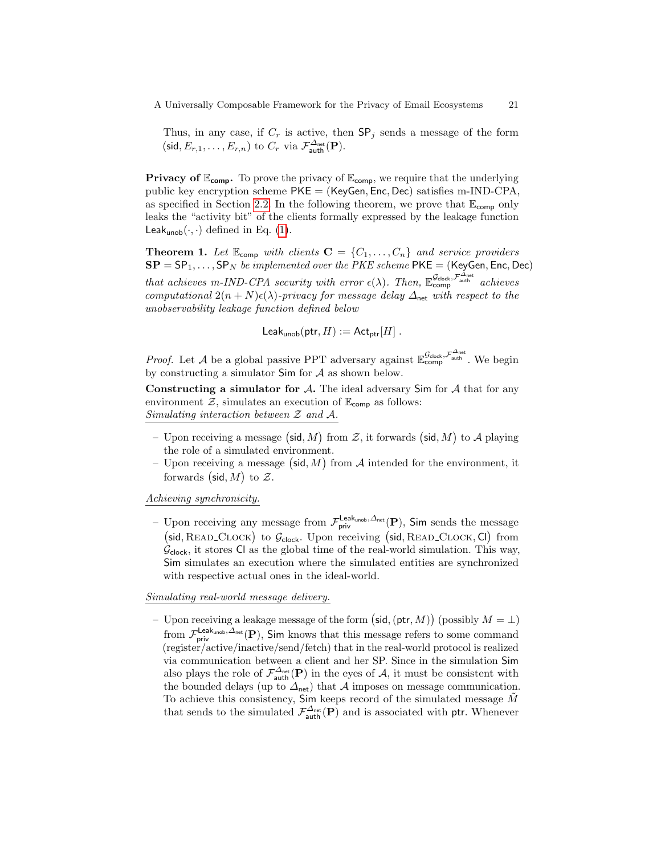A Universally Composable Framework for the Privacy of Email Ecosystems 21

Thus, in any case, if  $C_r$  is active, then  $\text{SP}_i$  sends a message of the form (sid,  $E_{r,1}, \ldots, E_{r,n}$ ) to  $C_r$  via  $\mathcal{F}_{\mathsf{auth}}^{\Delta_{\mathsf{net}}}(\mathbf{P})$ .

**Privacy of**  $\mathbb{E}_{\text{comp}}$ **.** To prove the privacy of  $\mathbb{E}_{\text{comp}}$ , we require that the underlying public key encryption scheme PKE = (KeyGen, Enc, Dec) satisfies m-IND-CPA, as specified in Section [2.2.](#page-4-0) In the following theorem, we prove that  $\mathbb{E}_{\text{comp}}$  only leaks the "activity bit" of the clients formally expressed by the leakage function Leak<sub>unob</sub> $(\cdot, \cdot)$  defined in Eq. [\(1\)](#page-13-0).

<span id="page-21-0"></span>**Theorem 1.** Let  $\mathbb{E}_{\text{comp}}$  with clients  $\mathbf{C} = \{C_1, \ldots, C_n\}$  and service providers  $SP = SP_1, \ldots, SP_N$  be implemented over the PKE scheme PKE = (KeyGen, Enc, Dec) that achieves m-IND-CPA security with error  $\epsilon(\lambda)$ . Then,  $\mathbb{E}_{\text{comp}}^{\mathcal{G}_{\text{clock}}, \mathcal{F}_{\text{auth}}^{\Delta_{\text{net}}} }$  achieves computational  $2(n+N)\epsilon(\lambda)$ -privacy for message delay  $\Delta_{\text{net}}$  with respect to the unobservability leakage function defined below

$$
\mathsf{Leak}_{\mathsf{unob}}(\mathsf{ptr}, H) := \mathsf{Act}_{\mathsf{ptr}}[H] .
$$

*Proof.* Let A be a global passive PPT adversary against  $\mathbb{E}^{\mathcal{G}_{clock},\mathcal{F}_{auto}^{\mathcal{G}_{note}}$ . We begin by constructing a simulator  $\mathsf{Sim}$  for  $\mathcal A$  as shown below.

Constructing a simulator for  $\mathcal{A}$ . The ideal adversary Sim for  $\mathcal{A}$  that for any environment  $\mathcal{Z}$ , simulates an execution of  $\mathbb{E}_{\text{comp}}$  as follows: Simulating interaction between  $\mathcal Z$  and  $\mathcal A$ .

- Upon receiving a message (sid, M) from  $\mathcal{Z}$ , it forwards (sid, M) to A playing the role of a simulated environment.
- Upon receiving a message (sid, M) from  $A$  intended for the environment, it forwards (sid,  $M$ ) to  $Z$ .

Achieving synchronicity.

– Upon receiving any message from  $\mathcal{F}_{\text{priv}}^{\text{Leak}_{\text{unob}},\Delta_{\text{net}}}(\mathbf{P}),$  Sim sends the message (sid, READ\_CLOCK) to Gclock. Upon receiving (sid, READ\_CLOCK, Cl) from  $\mathcal{G}_{\text{clock}}$ , it stores Cl as the global time of the real-world simulation. This way, Sim simulates an execution where the simulated entities are synchronized with respective actual ones in the ideal-world.

Simulating real-world message delivery.

- Upon receiving a leakage message of the form  $(\text{sid}, (\text{ptr}, M))$  (possibly  $M = \perp$ ) from  $\mathcal{F}_{\text{priv}}^{\text{Leakunob},\Delta_{\text{net}}}(\mathbf{P}),$  Sim knows that this message refers to some command (register/active/inactive/send/fetch) that in the real-world protocol is realized via communication between a client and her SP. Since in the simulation Sim also plays the role of  $\mathcal{F}_{\text{auth}}^{\Delta_{\text{net}}}(\mathbf{P})$  in the eyes of  $\mathcal{A}$ , it must be consistent with the bounded delays (up to  $\Delta_{\text{net}}$ ) that A imposes on message communication. To achieve this consistency,  $Sim$  keeps record of the simulated message  $M$ that sends to the simulated  $\mathcal{F}_{\text{auth}}^{\Delta_{\text{net}}}(\mathbf{P})$  and is associated with ptr. Whenever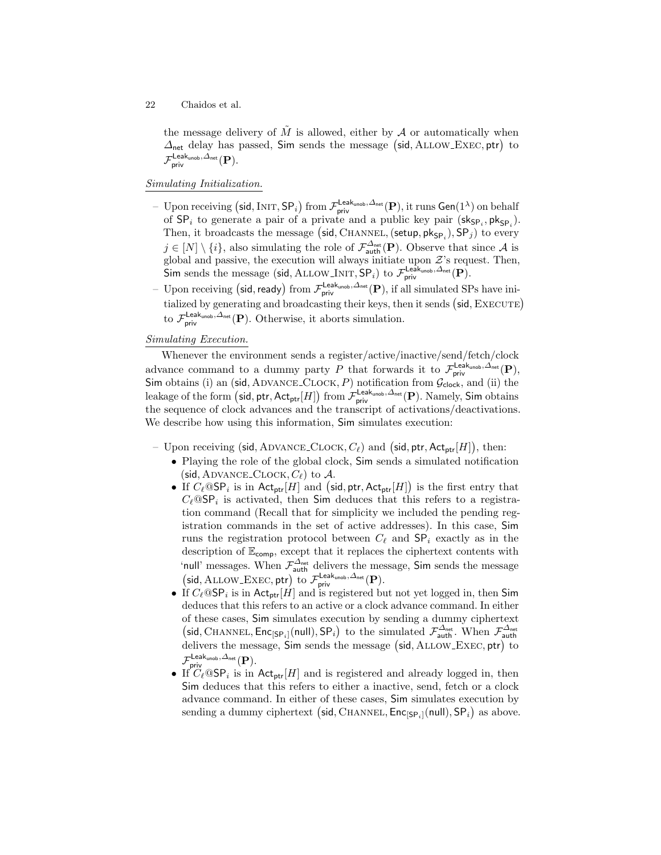the message delivery of  $M$  is allowed, either by  $A$  or automatically when  $\Delta_{\text{net}}$  delay has passed, Sim sends the message (sid, ALLOW\_EXEC, ptr) to  $\mathcal{F}_{\mathsf{priv}}^{\mathsf{Leak}_{\mathsf{unob}},\mathcal{ \Delta}_{\mathsf{net}} }(\mathbf{P}).$ 

Simulating Initialization.

- $-$  Upon receiving  $(\textsf{sid},\text{INIT},\textsf{SP}_i)$  from  $\mathcal{F}^\textsf{Leak_unob},\Delta_\textsf{net}(\mathbf{P}),$  it runs  $\textsf{Gen}(1^\lambda)$  on behalf of  $\mathsf{SP}_i$  to generate a pair of a private and a public key pair  $(\mathsf{sk}_{\mathsf{SP}_i}, \mathsf{pk}_{\mathsf{SP}_i})$ . Then, it broadcasts the message (sid, CHANNEL, (setup,  $pk_{SP_i}$ ),  $SP_j$ ) to every  $j \in [N] \setminus \{i\}$ , also simulating the role of  $\mathcal{F}^{\Delta_{\text{net}}}_{\text{auth}}(\mathbf{P})$ . Observe that since A is global and passive, the execution will always initiate upon  $\mathcal{Z}$ 's request. Then, Sim sends the message (sid, ALLOW\_INIT,  $\text{SP}_i$ ) to  $\mathcal{F}_{\text{priv}}^{\text{Leak}_{\text{unob}},\Delta_{\text{net}}}(\textbf{P})$ .
- Upon receiving (sid, ready) from  $\mathcal{F}_{\text{priv}}^{\text{Leak}_{\text{unob}},\Delta_{\text{net}}}(\mathbf{P}),$  if all simulated SPs have initialized by generating and broadcasting their keys, then it sends (sid, EXECUTE) to  $\mathcal{F}_{\text{priv}}^{\text{Leak}_{\text{unob}},\Delta_{\text{net}}}(\mathbf{P})$ . Otherwise, it aborts simulation.

## Simulating Execution.

Whenever the environment sends a register/active/inactive/send/fetch/clock advance command to a dummy party P that forwards it to  $\mathcal{F}_{\text{priv}}^{\text{Leak}_{\text{unob}},\Delta_{\text{net}}}(\mathbf{P}),$ Sim obtains (i) an (sid, ADVANCE\_CLOCK, P) notification from  $\mathcal{G}_{\text{clock}}$ , and (ii) the leakage of the form  $({\sf sid}, \mathsf{ptr}, \mathsf{Act}_{\mathsf{ptr}}[H])$  from  $\mathcal{F}^{\mathsf{Leak}_{\mathsf{unob}},\Delta_{\mathsf{net}}}(\mathbf{P})$ . Namely, Sim obtains the sequence of clock advances and the transcript of activations/deactivations. We describe how using this information, Sim simulates execution:

- Upon receiving (sid, ADVANCE<sub>-CLOCK</sub>,  $C_{\ell}$ ) and (sid, ptr, Act<sub>ptr</sub>[H]), then:
	- ∙ Playing the role of the global clock, Sim sends a simulated notification (sid, ADVANCE\_CLOCK,  $C_{\ell}$ ) to  $A$ .
	- If  $C_{\ell} \mathbb{Q} \mathsf{SP}_i$  is in Act<sub>ptr</sub> $[H]$  and (sid, ptr, Act<sub>ptr</sub> $[H]$ ) is the first entry that  $C_{\ell}$ @SP<sub>i</sub> is activated, then Sim deduces that this refers to a registration command (Recall that for simplicity we included the pending registration commands in the set of active addresses). In this case, Sim runs the registration protocol between  $C_{\ell}$  and  $\mathsf{SP}_i$  exactly as in the description of  $\mathbb{E}_{\text{comp}}$ , except that it replaces the ciphertext contents with 'null' messages. When  $\mathcal{F}_{\text{auth}}^{\Delta_{\text{net}}}$  delivers the message, Sim sends the message  $(\text{sid}, \text{ALLOW\_EXEC}, \text{ptr})$  to  $\mathcal{F}_{\text{priv}}^{\text{Leak}_{\text{unob}}, \Delta_{\text{net}}}(\textbf{P}).$
	- If  $C_{\ell}$ ©SP<sub>i</sub> is in Act<sub>ptr</sub>[H] and is registered but not yet logged in, then Sim deduces that this refers to an active or a clock advance command. In either of these cases, Sim simulates execution by sending a dummy ciphertext (sid, CHANNEL,  $\mathsf{Enc}_{\mathsf{[SP}_i]}(\mathsf{null}), \mathsf{SP}_i)$  to the simulated  $\mathcal{F}_{\mathsf{auth}}^{\Delta_{\mathsf{net}}}$ . When  $\mathcal{F}_{\mathsf{auth}}^{\Delta_{\mathsf{net}}}$ delivers the message, Sim sends the message (sid, ALLOW\_EXEC, ptr) to  $\mathcal{F}_{\mathsf{priv}}^{\mathsf{Leak}_{\mathsf{unob}},\mathcal{ \Delta}_{\mathsf{net}} }(\mathbf{P}).$
	- If  $C_{\ell} \otimes \mathsf{SP}_i$  is in  $\mathsf{Act}_{\mathsf{ptr}}[H]$  and is registered and already logged in, then Sim deduces that this refers to either a inactive, send, fetch or a clock advance command. In either of these cases, Sim simulates execution by sending a dummy ciphertext (sid, CHANNEL,  $\mathsf{Enc}_{[\mathsf{SP}_i]}(\mathsf{null}), \mathsf{SP}_i)$  as above.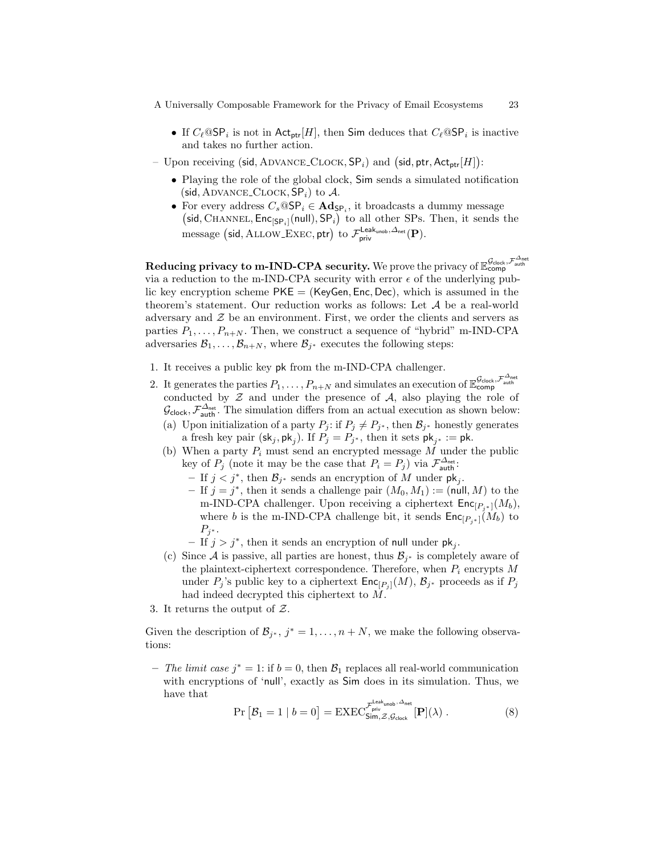- A Universally Composable Framework for the Privacy of Email Ecosystems 23
	- If  $C_{\ell} \mathbb{Q} \mathsf{SP}_i$  is not in Act<sub>ptr</sub>[H], then Sim deduces that  $C_{\ell} \mathbb{Q} \mathsf{SP}_i$  is inactive and takes no further action.
- Upon receiving (sid, ADVANCE\_CLOCK,  $SP_i$ ) and (sid, ptr, Act<sub>ptr</sub>[H]):
	- ∙ Playing the role of the global clock, Sim sends a simulated notification (sid, ADVANCE\_CLOCK,  $SP_i$ ) to A.
	- For every address  $C_s$ @SP<sub>i</sub> ∈ Ad<sub>SP<sub>i</sub></sub>, it broadcasts a dummy message  $(\text{sid}, \text{CHANNEL}, \text{Enc}_{\text{[SP}_i]}(\text{null}), \text{SP}_i)$  to all other SPs. Then, it sends the message (sid, ALLOW\_EXEC, ptr) to  $\mathcal{F}_{\textsf{priv}}^{\textsf{Leak}_{\textsf{unrob}},\Delta_{\textsf{net}}}(\textbf{P}).$

 ${\bf Reducing\ privacy\ to\ m-IND-CPA\ security.}$  We prove the privacy of  $\mathbb{E}^{\mathcal{G}_{clock},\mathcal{F}^{\Delta_{net}}_{auth}}$ via a reduction to the m-IND-CPA security with error  $\epsilon$  of the underlying public key encryption scheme  $PKE = (KeyGen, Enc, Dec)$ , which is assumed in the theorem's statement. Our reduction works as follows: Let  $A$  be a real-world adversary and  $\mathcal Z$  be an environment. First, we order the clients and servers as parties  $P_1, \ldots, P_{n+N}$ . Then, we construct a sequence of "hybrid" m-IND-CPA adversaries  $\mathcal{B}_1, \ldots, \mathcal{B}_{n+N}$ , where  $\mathcal{B}_{j^*}$  executes the following steps:

- 1. It receives a public key pk from the m-IND-CPA challenger.
- 2. It generates the parties  $P_1, \ldots, P_{n+N}$  and simulates an execution of  $\mathbb{E}_{\text{comp}}^{\mathcal{G}_{\text{clock}}, \mathcal{F}_{\text{auth}}^{\Delta_{\text{net}}}$ conducted by  $Z$  and under the presence of  $A$ , also playing the role of  $\mathcal{G}_{clock}, \mathcal{F}_{\text{auth}}^{\Delta_{\text{net}}}$ . The simulation differs from an actual execution as shown below: (a) Upon initialization of a party  $P_j$ : if  $P_j \neq P_{j^*}$ , then  $\mathcal{B}_{j^*}$  honestly generates
	- a fresh key pair  $(\mathsf{sk}_j, \mathsf{pk}_j)$ . If  $P_j = P_{j^*}$ , then it sets  $\mathsf{pk}_{j^*} := \mathsf{pk}$ .
	- (b) When a party  $P_i$  must send an encrypted message  $M$  under the public key of  $P_j$  (note it may be the case that  $P_i = P_j$ ) via  $\mathcal{F}_{\text{auth}}^{\Delta_{\text{net}}}$ :
		- If  $j < j^*$ , then  $\mathcal{B}_{j^*}$  sends an encryption of M under  $\mathsf{pk}_j$ .
		- If  $j = j^*$ , then it sends a challenge pair  $(M_0, M_1) := (\text{null}, M)$  to the m-IND-CPA challenger. Upon receiving a ciphertext  $\mathsf{Enc}_{[P_{<^*}]}(M_b)$ , where b is the m-IND-CPA challenge bit, it sends  $\mathsf{Enc}_{[P_{i^*}]}(M_b)$  to  $P_{j^*}$ .
		- If  $j > j^*$ , then it sends an encryption of null under  $pk_j$ .
	- (c) Since A is passive, all parties are honest, thus  $\mathcal{B}_{j^*}$  is completely aware of the plaintext-ciphertext correspondence. Therefore, when  $P_i$  encrypts M under  $P_j$ 's public key to a ciphertext  $\mathsf{Enc}_{[P_j]}(M), \mathcal{B}_{j^*}$  proceeds as if  $P_j$ had indeed decrypted this ciphertext to  $M$ .
- 3. It returns the output of  $Z$ .

Given the description of  $\mathcal{B}_{j^*}, j^* = 1, \ldots, n+N$ , we make the following observations:

- The limit case  $j^* = 1$ : if  $b = 0$ , then  $\mathcal{B}_1$  replaces all real-world communication with encryptions of 'null', exactly as  $Sim$  does in its simulation. Thus, we have that

<span id="page-23-0"></span>
$$
\Pr\left[\mathcal{B}_1 = 1 \mid b = 0\right] = \text{EXEC}_{\text{Sim}, \mathcal{Z}, \mathcal{G}_{\text{clock}}}^{\mathcal{F}_{\text{priv}}^{\text{Leak}_{\text{unobs}}, \Delta_{\text{net}}}}[\mathbf{P}](\lambda) \,. \tag{8}
$$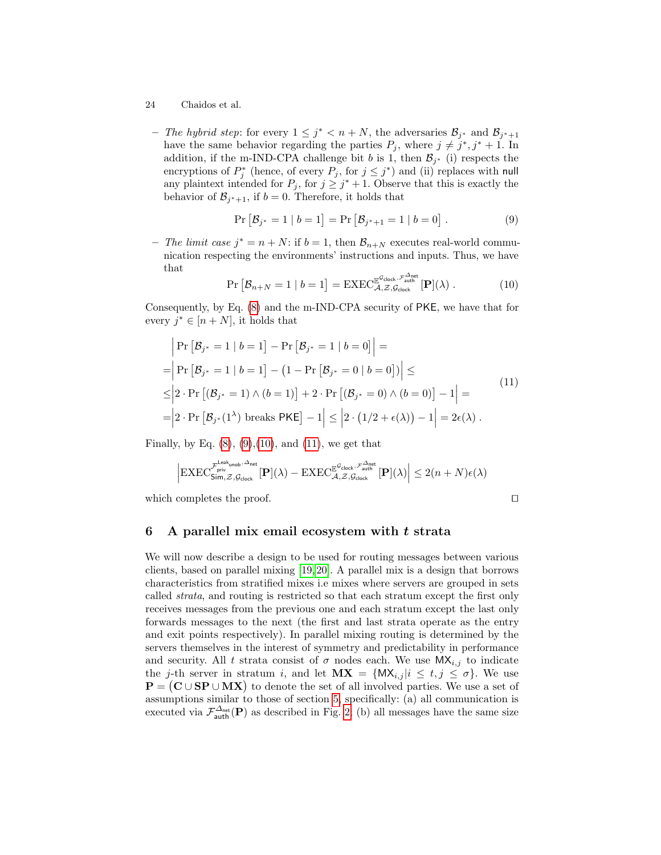- 24 Chaidos et al.
	- The hybrid step: for every  $1 \leq j^* < n + N$ , the adversaries  $\mathcal{B}_{j^*}$  and  $\mathcal{B}_{j^*+1}$ have the same behavior regarding the parties  $P_j$ , where  $j \neq j^*, j^* + 1$ . In addition, if the m-IND-CPA challenge bit *b* is 1, then  $\mathcal{B}_{j^*}$  (i) respects the encryptions of  $P_j^*$  (hence, of every  $P_j$ , for  $j \leq j^*$ ) and (ii) replaces with null any plaintext intended for  $P_j$ , for  $j \geq j^* + 1$ . Observe that this is exactly the behavior of  $\mathcal{B}_{j^*+1}$ , if  $b=0$ . Therefore, it holds that

<span id="page-24-1"></span>
$$
\Pr\left[\mathcal{B}_{j^*} = 1 \mid b = 1\right] = \Pr\left[\mathcal{B}_{j^*+1} = 1 \mid b = 0\right].\tag{9}
$$

<span id="page-24-2"></span>- The limit case  $j^* = n + N$ : if  $b = 1$ , then  $\mathcal{B}_{n+N}$  executes real-world communication respecting the environments' instructions and inputs. Thus, we have that

<span id="page-24-3"></span>
$$
\Pr\left[\mathcal{B}_{n+N} = 1 \mid b = 1\right] = \text{EXEC}_{\mathcal{A},\mathcal{Z},\mathcal{G}_{\text{clock}}}^{\mathbb{E}^{\mathcal{G}_{\text{clock}},\mathcal{F}_{\text{auth}}^{\Delta_{\text{net}}}}}[P](\lambda) \,. \tag{10}
$$

Consequently, by Eq. [\(8\)](#page-23-0) and the m-IND-CPA security of PKE, we have that for every  $j^* \in [n+N]$ , it holds that

$$
\begin{aligned}\n\left| \Pr\left[\mathcal{B}_{j^*} = 1 \mid b = 1\right] - \Pr\left[\mathcal{B}_{j^*} = 1 \mid b = 0\right] \right| &= \\
&= \left| \Pr\left[\mathcal{B}_{j^*} = 1 \mid b = 1\right] - \left(1 - \Pr\left[\mathcal{B}_{j^*} = 0 \mid b = 0\right]\right) \right| &\le \\
&\le \left| 2 \cdot \Pr\left[\left(\mathcal{B}_{j^*} = 1\right) \land \left(b = 1\right)\right] + 2 \cdot \Pr\left[\left(\mathcal{B}_{j^*} = 0\right) \land \left(b = 0\right)\right] - 1 \right| \\
&= \left| 2 \cdot \Pr\left[\mathcal{B}_{j^*}(1^\lambda) \text{ breaks PKE}\right] - 1 \right| &\le \left| 2 \cdot \left(1/2 + \epsilon(\lambda)\right) - 1 \right| = 2\epsilon(\lambda)\n\end{aligned}\n\tag{11}
$$

Finally, by Eq.  $(8)$ ,  $(9)$ ,  $(10)$ , and  $(11)$ , we get that

$$
\Big|\mathrm{EXEC}_{\mathsf{Sim},\mathcal{Z},\mathcal{G}_{\mathsf{clock}}}^{\mathcal{F}_{\mathsf{priv}}^{\mathsf{Leak}_{\mathsf{unob}},\Delta_{\mathsf{net}}}}[ \mathbf{P}](\lambda) - \mathrm{EXEC}_{\mathcal{A},\mathcal{Z},\mathcal{G}_{\mathsf{clock}}}^{\mathbb{E}^{\mathcal{G}_{\mathsf{clock}},\mathcal{F}_{\mathsf{aut}}^{\Delta_{\mathsf{net}}}}}[ \mathbf{P}](\lambda) \Big| \leq 2(n+N) \epsilon(\lambda)
$$

which completes the proof.

$$
\Box
$$

## <span id="page-24-0"></span>6 A parallel mix email ecosystem with  $t$  strata

We will now describe a design to be used for routing messages between various clients, based on parallel mixing [\[19,](#page-32-10) [20\]](#page-32-18). A parallel mix is a design that borrows characteristics from stratified mixes i.e mixes where servers are grouped in sets called strata, and routing is restricted so that each stratum except the first only receives messages from the previous one and each stratum except the last only forwards messages to the next (the first and last strata operate as the entry and exit points respectively). In parallel mixing routing is determined by the servers themselves in the interest of symmetry and predictability in performance and security. All t strata consist of  $\sigma$  nodes each. We use  $\mathsf{MX}_{i,j}$  to indicate the j-th server in stratum i, and let  $MX = \{MX_{i,j} | i \leq t, j \leq \sigma\}$ . We use  $\mathbf{P} = (\mathbf{C} \cup \mathbf{S} \mathbf{P} \cup \mathbf{M} \mathbf{X})$  to denote the set of all involved parties. We use a set of assumptions similar to those of section [5,](#page-17-0) specifically: (a) all communication is executed via  $\mathcal{F}^{\Delta_{\text{net}}}_{\text{auth}}(\mathbf{P})$  as described in Fig. [2;](#page-11-0) (b) all messages have the same size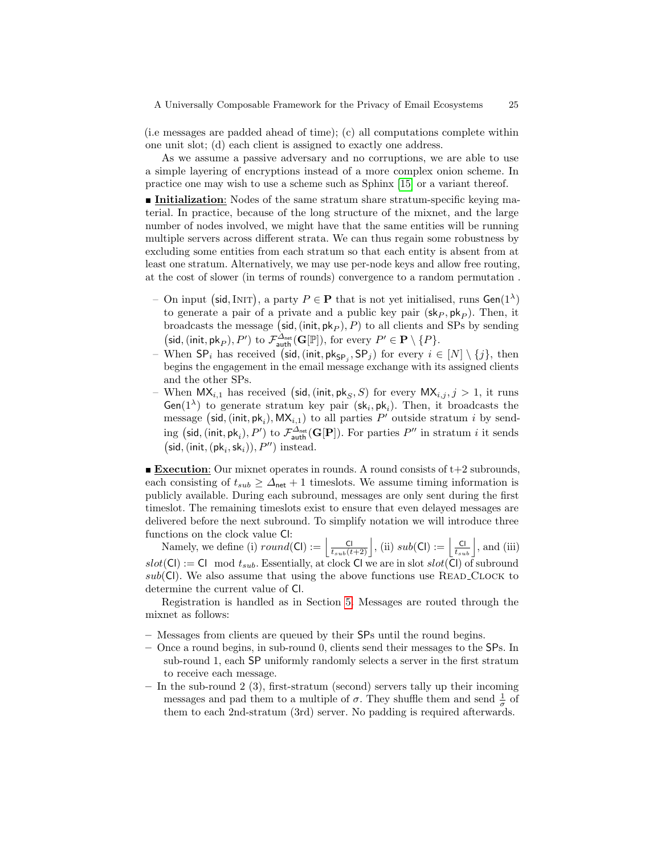(i.e messages are padded ahead of time); (c) all computations complete within one unit slot; (d) each client is assigned to exactly one address.

As we assume a passive adversary and no corruptions, we are able to use a simple layering of encryptions instead of a more complex onion scheme. In practice one may wish to use a scheme such as Sphinx [\[15\]](#page-32-19) or a variant thereof.

**Initialization:** Nodes of the same stratum share stratum-specific keying material. In practice, because of the long structure of the mixnet, and the large number of nodes involved, we might have that the same entities will be running multiple servers across different strata. We can thus regain some robustness by excluding some entities from each stratum so that each entity is absent from at least one stratum. Alternatively, we may use per-node keys and allow free routing, at the cost of slower (in terms of rounds) convergence to a random permutation .

- On input (sid, INIT), a party  $P \in \mathbf{P}$  that is not yet initialised, runs  $Gen(1^{\lambda})$ to generate a pair of a private and a public key pair  $(\mathsf{sk}_P, \mathsf{pk}_P)$ . Then, it broadcasts the message  $(\text{sid}, (\text{init}, \text{pk}_P), P)$  to all clients and SPs by sending  $(\mathsf{sid},(\mathsf{init}, \mathsf{pk}_P), P') \text{ to } \mathcal{F}^{\Delta_{\mathsf{net}}}_{\mathsf{auth}}(\mathbf{G}[\mathbb{P}]), \text{ for every } P' \in \mathbf{P} \setminus \{P\}.$
- − When  $\mathsf{SP}_i$  has received (sid,(init,  $\mathsf{pk}_{\mathsf{SP}_j}, \mathsf{SP}_j$ ) for every  $i \in [N] \setminus \{j\}$ , then begins the engagement in the email message exchange with its assigned clients and the other SPs.
- When  $\mathsf{MX}_{i,1}$  has received (sid, (init,  $\mathsf{pk}_S$ , S) for every  $\mathsf{MX}_{i,j}, j > 1$ , it runs Gen( $1^{\lambda}$ ) to generate stratum key pair (sk<sub>i</sub>, pk<sub>i</sub>). Then, it broadcasts the message (sid, (init,  $pk_i$ ),  $MX_{i,1}$ ) to all parties  $P'$  outside stratum i by sending (sid, (init,  $pk_i$ ),  $P'$ ) to  $\mathcal{F}_{\mathsf{auth}}^{\Delta_{\mathsf{net}}}(\mathbf{G}[\mathbf{P}]).$  For parties  $P''$  in stratum i it sends  $\big(\textsf{sid},(\textsf{init},(\textsf{pk}_i,\textsf{sk}_i)), P^{\prime\prime}\big)$  instead.

Execution: Our mixnet operates in rounds. A round consists of  $t+2$  subrounds, each consisting of  $t_{sub} \geq \Delta_{net} + 1$  timeslots. We assume timing information is publicly available. During each subround, messages are only sent during the first timeslot. The remaining timeslots exist to ensure that even delayed messages are delivered before the next subround. To simplify notation we will introduce three functions on the clock value Cl:

Namely, we define (i)  $round(C) := \left| \frac{C}{t_{sub}(t+2)} \right|$ , (ii)  $sub(C) := \left| \frac{C}{t_{sub}} \right|$ , and (iii)  $slot(C) := C1 \mod t_{sub}$ . Essentially, at clock Cl we are in slot  $slot(\overline{C})$  of subround  $sub(C)$ . We also assume that using the above functions use READ\_CLOCK to determine the current value of Cl.

Registration is handled as in Section [5.](#page-17-0) Messages are routed through the mixnet as follows:

- Messages from clients are queued by their SPs until the round begins.
- Once a round begins, in sub-round 0, clients send their messages to the SPs. In sub-round 1, each SP uniformly randomly selects a server in the first stratum to receive each message.
- In the sub-round 2 (3), first-stratum (second) servers tally up their incoming messages and pad them to a multiple of  $\sigma$ . They shuffle them and send  $\frac{1}{\sigma}$  of them to each 2nd-stratum (3rd) server. No padding is required afterwards.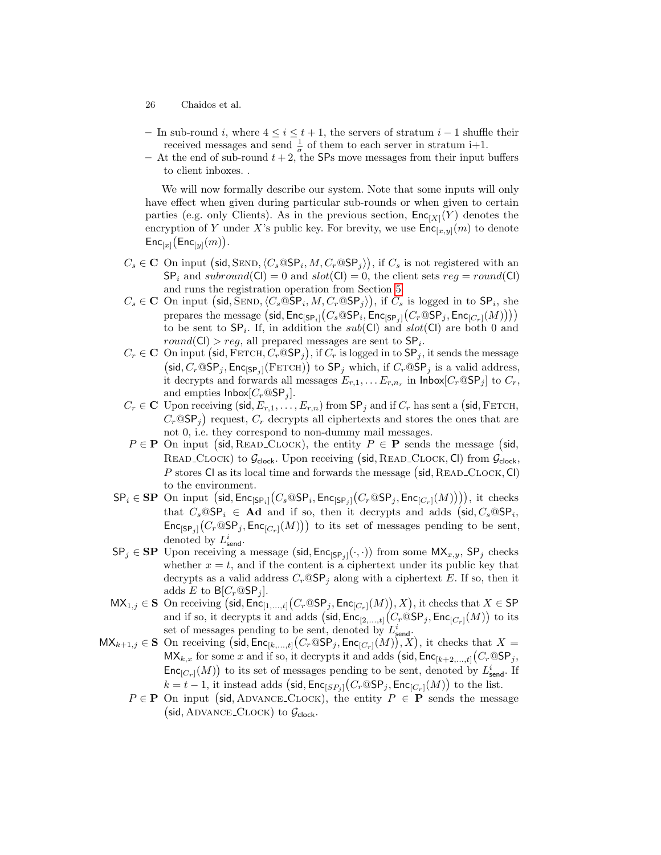- 26 Chaidos et al.
- In sub-round i, where  $4 \leq i \leq t+1$ , the servers of stratum  $i-1$  shuffle their received messages and send  $\frac{1}{\sigma}$  of them to each server in stratum i+1.
- At the end of sub-round  $t + 2$ , the SPs move messages from their input buffers to client inboxes. .

We will now formally describe our system. Note that some inputs will only have effect when given during particular sub-rounds or when given to certain parties (e.g. only Clients). As in the previous section,  $\mathsf{Enc}_{[X]}(Y)$  denotes the encryption of Y under X's public key. For brevity, we use  $\mathsf{Enc}_{[x,y]}(m)$  to denote  $\mathsf{Enc}_{[x]}(\mathsf{Enc}_{[y]}(m)).$ 

- $C_s \in \mathbb{C}$  On input (sid, SEND,  $\langle C_s \mathbb{QSP}_i, M, C_r \mathbb{QSP}_j \rangle$ ), if  $C_s$  is not registered with an  $\mathsf{SP}_i$  and subround( $\mathsf{Cl}$ ) = 0 and slot( $\mathsf{Cl}$ ) = 0, the client sets  $req = round(\mathsf{Cl})$ and runs the registration operation from Section [5.](#page-17-0)
- $C_s \in \mathbb{C}$  On input (sid, SEND,  $\langle C_s \mathbb{QSP}_i, M, C_r \mathbb{QSP}_j \rangle$ ), if  $C_s$  is logged in to  $\mathsf{SP}_i$ , she prepares the message  $({\sf sid}, \mathsf{Enc}_{[\mathsf{SP}_i]}(C_s@{\mathsf{SP}_i}, \mathsf{Enc}_{[\mathsf{SP}_j]}(C_r@{\mathsf{SP}_j}, \mathsf{Enc}_{[C_r]}(M)))$ to be sent to  $\mathsf{SP}_i$ . If, in addition the sub(Cl) and slot(Cl) are both 0 and round(Cl) > reg, all prepared messages are sent to  $SP_i$ .
- $C_r \in \mathbb{C}$  On input (sid, FETCH,  $C_r \widehat{\otimes} \mathsf{SP}_j$ ), if  $C_r$  is logged in to  $\mathsf{SP}_j$ , it sends the message  $(\text{sid}, C_r \text{@SP}_j, \text{Enc}_{\text{[SP}_j]}(\text{FETCH}))$  to  $\text{SP}_j$  which, if  $C_r \text{@SP}_j$  is a valid address, it decrypts and forwards all messages  $E_{r,1}, \ldots E_{r,n_r}$  in  $\textsf{Inbox}[C_r@{\sf SP}_j]$  to  $C_r$ , and empties  $lnbox[C_r@SP_j]$ .
- $C_r \in \mathbb{C}$  Upon receiving (sid,  $E_{r,1}, \ldots, E_{r,n}$ ) from  $\mathsf{SP}_j$  and if  $C_r$  has sent a (sid, FETCH,  $C_r$ <sup>®</sup>SP<sub>j</sub>) request,  $C_r$  decrypts all ciphertexts and stores the ones that are not 0, i.e. they correspond to non-dummy mail messages.
- $P \in \mathbf{P}$  On input (sid, READ\_CLOCK), the entity  $P \in \mathbf{P}$  sends the message (sid, READ\_CLOCK) to  $\mathcal{G}_{clock}$ . Upon receiving (sid, READ\_CLOCK, Cl) from  $\mathcal{G}_{clock}$ ,  $P$  stores Cl as its local time and forwards the message (sid, READ\_CLOCK, Cl) to the environment.
- $\mathsf{SP}_i \in \mathbf{SP}$  On input  $\big(\mathsf{sid}, \mathsf{Enc}_{\mathsf{[SP}_i]}(C_s@\mathsf{SP}_i, \mathsf{Enc}_{\mathsf{[SP}_j]}(C_r@\mathsf{SP}_j, \mathsf{Enc}_{[C_r]}(M))\big)\big),$  it checks that  $C_s \t{Q} \t{S} P_i \t{A} d$  and if so, then it decrypts and adds  $(\text{sid}, C_s \t{Q} \t{S} P_i,$  $\mathsf{Enc}_{\mathsf{[SP}_j]}(C_r \mathsf{QSP}_j, \mathsf{Enc}_{[C_r]}(M)))$  to its set of messages pending to be sent, denoted by  $L^i_{\text{send}}$ .
- $\mathsf{SP}_j \in \mathbf{SP}$  Upon receiving a message (sid,  $\mathsf{Enc}_{\mathsf{SP}_j}(\cdot, \cdot)$ ) from some  $\mathsf{MX}_{x,y}$ ,  $\mathsf{SP}_j$  checks whether  $x = t$ , and if the content is a ciphertext under its public key that decrypts as a valid address  $C_r@SP_i$  along with a ciphertext E. If so, then it adds E to  $B[C_r@SP_i]$ .
- $\mathsf{MX}_{1,j} \in \mathbf{S}$  On receiving  $(\mathsf{sid}, \mathsf{Enc}_{[1,...,t]}(C_r \mathbf{QSP}_j, \mathsf{Enc}_{[C_r]}(M)), X),$  it checks that  $X \in \mathsf{SP}$ and if so, it decrypts it and adds  $\left(\textsf{sid}, \textsf{Enc}_{[2,...,t]}(C_r \text{@SP}_j, \textsf{Enc}_{[C_r]}(M)\right)$  to its set of messages pending to be sent, denoted by  $L^i_{\text{send}}$ .
- $\mathsf{MX}_{k+1,j} \in \mathbf{S}$  On receiving  $(\mathsf{sid}, \mathsf{Enc}_{[k,...,t]}(C_r \mathbb{QSP}_j, \mathsf{Enc}_{[C_r]}(M)), X),$  it checks that  $X =$  $\mathsf{MX}_{k,x}$  for some x and if so, it decrypts it and adds (sid,  $\mathsf{Enc}_{[k+2,\ldots,t]}(C_r \mathsf{QSP}_j)$ ,  $\mathsf{Enc}_{[C_r]}(M)$  to its set of messages pending to be sent, denoted by  $L^i_{\mathsf{send}}$ . If  $k = t - 1$ , it instead adds (sid,  $\mathsf{Enc}_{[SP_j]}(C_r \mathbb{QSP}_j, \mathsf{Enc}_{[C_r]}(M))$  to the list.
	- $P \in \mathbf{P}$  On input (sid, ADVANCE CLOCK), the entity  $P \in \mathbf{P}$  sends the message (sid, ADVANCE\_CLOCK) to  $\mathcal{G}_{clock}$ .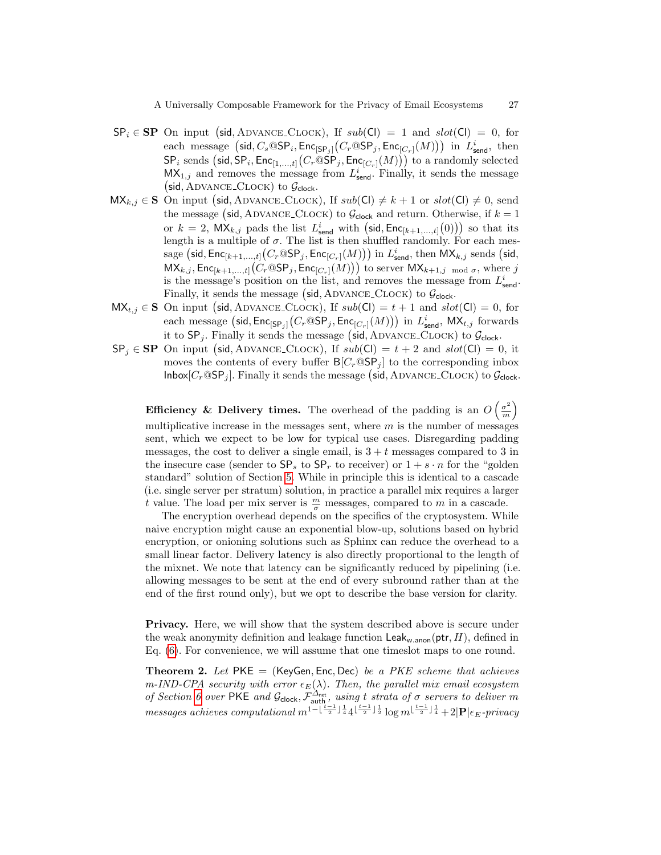- $\mathsf{SP}_i \in \mathbf{SP}$  On input (sid, ADVANCE\_CLOCK), If  $sub(\mathsf{CI}) = 1$  and  $slot(\mathsf{CI}) = 0$ , for each message  $(\textsf{sid}, C_s@SP_i, \textsf{Enc}_{[SP_j]}(C_r@SP_j, \textsf{Enc}_{[C_r]}(M)))$  in  $L^i_{\textsf{send}}$ , then  $\mathsf{SP}_i$  sends  $\big(\mathsf{sid},\mathsf{SP}_i,\mathsf{Enc}_{[1,...,t]}(C_r@\mathsf{SP}_j,\mathsf{Enc}_{[C_r]}(M)\big)\big)$  to a randomly selected  $\mathsf{MX}_{1,j}$  and removes the message from  $L^i_{\text{send}}$ . Finally, it sends the message (sid, ADVANCE\_CLOCK) to  $\mathcal{G}_{clock}$ .
- $\mathsf{MX}_{k,j} \in \mathbf{S}$  On input (sid, ADVANCE\_CLOCK), If  $sub(\mathsf{CI}) \neq k+1$  or  $slot(\mathsf{CI}) \neq 0$ , send the message (sid, ADVANCE\_CLOCK) to  $\mathcal{G}_{\text{clock}}$  and return. Otherwise, if  $k = 1$ or  $k=2, \ \mathsf{MX}_{k,j}$  pads the list  $L^i_\mathsf{send}$  with  $\big(\mathsf{sid}, \mathsf{Enc}_{[k+1,...,t]}(0)\big)\big)$  so that its length is a multiple of  $\sigma$ . The list is then shuffled randomly. For each mes- ${\rm stage}\ \big({\sf sid}, {\sf Enc}_{[k+1,...,t]}\big(C_r@{\sf SP}_j, {\sf Enc}_{[C_r]}(M)\big)\big)$  in  $L^i_{\sf send},$  then  ${\sf MX}_{k,j}$  sends  $\big({\sf sid},$  $\mathsf{MX}_{k,j}, \mathsf{Enc}_{[k+1,...,t]}(C_r@\mathsf{SP}_j, \mathsf{Enc}_{[C_r]}(M)))$  to server  $\mathsf{MX}_{k+1,j \mod \sigma},$  where  $j$ is the message's position on the list, and removes the message from  $L^i_{\text{send}}$ . Finally, it sends the message (sid, ADVANCE\_CLOCK) to  $\mathcal{G}_{\text{clock}}$ .
- $\mathsf{MX}_{t,j} \in \mathbf{S}$  On input (sid, ADVANCE\_CLOCK), If  $sub(\mathsf{CI}) = t + 1$  and  $slot(\mathsf{CI}) = 0$ , for each message  $\big(\textsf{sid}, \textsf{Enc}_{[\textsf{SP}_j]}(C_r@{\textsf{SP}_j}, \textsf{Enc}_{[C_r]}(M))\big)$  in  $L^i_\mathsf{send}, \textsf{MX}_{t,j}$  forwards it to  $\mathsf{SP}_j$ . Finally it sends the message (sid, ADVANCE\_CLOCK) to  $\mathcal{G}_{\text{clock}}$ .
- $\mathsf{SP}_j \in \mathbf{SP}$  On input (sid, ADVANCE\_CLOCK), If  $sub(\mathsf{CI}) = t + 2$  and  $slot(\mathsf{CI}) = 0$ , it moves the contents of every buffer  $B[C_r@SP_i]$  to the corresponding inbox  $\textsf{Inbox}[C_r@SP_j]$ . Finally it sends the message (sid, ADVANCE\_CLOCK) to  $\mathcal{G}_{\textsf{clock}}$ .

**Efficiency & Delivery times.** The overhead of the padding is an  $O\left(\frac{\sigma^2}{m}\right)$  $\frac{\sigma^2}{m}$ multiplicative increase in the messages sent, where  $m$  is the number of messages sent, which we expect to be low for typical use cases. Disregarding padding messages, the cost to deliver a single email, is  $3 + t$  messages compared to 3 in the insecure case (sender to  $SP_s$  to  $SP_r$  to receiver) or  $1 + s \cdot n$  for the "golden" standard" solution of Section [5.](#page-17-0) While in principle this is identical to a cascade (i.e. single server per stratum) solution, in practice a parallel mix requires a larger t value. The load per mix server is  $\frac{m}{\sigma}$  messages, compared to m in a cascade.

The encryption overhead depends on the specifics of the cryptosystem. While naive encryption might cause an exponential blow-up, solutions based on hybrid encryption, or onioning solutions such as Sphinx can reduce the overhead to a small linear factor. Delivery latency is also directly proportional to the length of the mixnet. We note that latency can be significantly reduced by pipelining (i.e. allowing messages to be sent at the end of every subround rather than at the end of the first round only), but we opt to describe the base version for clarity.

Privacy. Here, we will show that the system described above is secure under the weak anonymity definition and leakage function  $\textsf{Leak}_{w\ldots mn}(\textsf{ptr}, H)$ , defined in Eq. [\(6\)](#page-16-1). For convenience, we will assume that one timeslot maps to one round.

**Theorem 2.** Let  $PKE = (KeyGen, Enc, Dec)$  be a PKE scheme that achieves m-IND-CPA security with error  $\epsilon_E(\lambda)$ . Then, the parallel mix email ecosystem of Section [6](#page-24-0) over PKE and  $\mathcal{G}_{clock}$ ,  $\mathcal{F}_{auth}^{\Delta_{net}}$ , using t strata of  $\sigma$  servers to deliver m  $\emph{messages achieves computational} \ m^{1-\lfloor \frac{t-1}{2} \rfloor \frac{1}{4}} 4^{\lfloor \frac{t-1}{2} \rfloor \frac{1}{2}} \log m^{\lfloor \frac{t-1}{2} \rfloor \frac{1}{4}} + 2 |\mathbf{P}| \epsilon_E \text{-} \emph{pivacy}$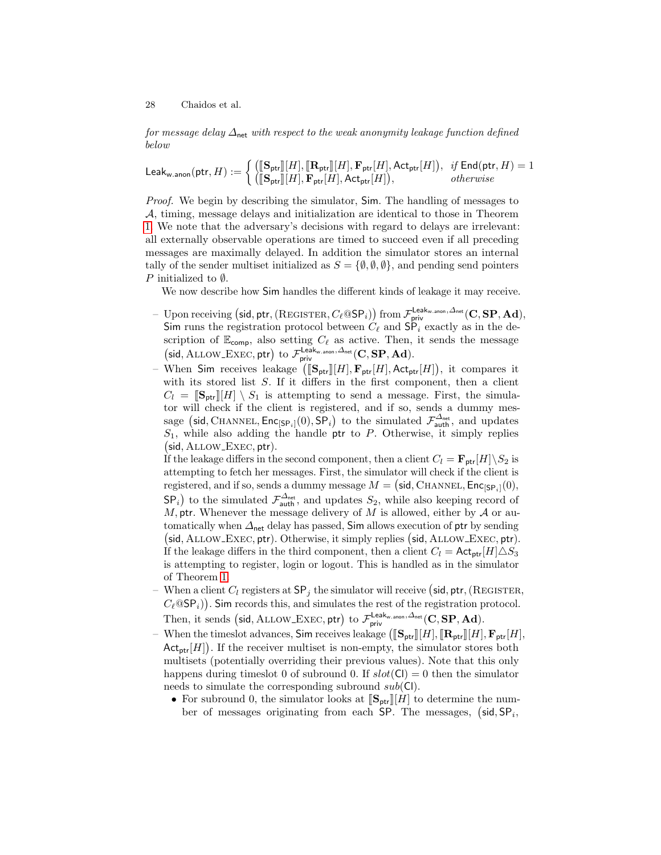for message delay  $\Delta_{\text{net}}$  with respect to the weak anonymity leakage function defined below

$$
\mathsf{Leak}_{\mathsf{w.} \mathsf{anon}}(\mathsf{ptr}, H) := \begin{cases} ([\mathbb{S}_{\mathsf{ptr}}][H], [\mathbb{R}_{\mathsf{ptr}}][H], \mathbf{F}_{\mathsf{ptr}}[H], \mathsf{Act}_{\mathsf{ptr}}[H]), & \text{if } \mathsf{End}(\mathsf{ptr}, H) = 1 \\ ([\mathbb{S}_{\mathsf{ptr}}][H], \mathbb{F}_{\mathsf{ptr}}[H], \mathsf{Act}_{\mathsf{ptr}}[H]), & \text{otherwise} \end{cases}
$$

Proof. We begin by describing the simulator, Sim. The handling of messages to , timing, message delays and initialization are identical to those in Theorem [1.](#page-21-0) We note that the adversary's decisions with regard to delays are irrelevant: all externally observable operations are timed to succeed even if all preceding messages are maximally delayed. In addition the simulator stores an internal tally of the sender multiset initialized as  $S = \{ \emptyset, \emptyset, \emptyset \}$ , and pending send pointers P initialized to  $\emptyset$ .

We now describe how Sim handles the different kinds of leakage it may receive.

- $-$  Upon receiving (sid, ptr, (REGISTER,  $C_{\ell}@\mathsf{SP}_i)$ ) from  $\mathcal{F}_{\mathsf{priv}}^{\mathsf{Leak}_{\mathsf{w}.\mathsf{anon}},\Delta_{\mathsf{net}}}(\mathbf{C},\mathbf{SP},\mathbf{Ad}),$ Sim runs the registration protocol between  $C_{\ell}$  and  $SP_i$  exactly as in the description of  $\mathbb{E}_{\text{comp}}$ , also setting  $C_{\ell}$  as active. Then, it sends the message (sid, ALLOW\_EXEC, ptr) to  $\mathcal{F}_{\text{priv}}^{\text{Leak}_{w. \text{anon}}, \Delta_{\text{net}}}(\mathbf{C}, \mathbf{SP}, \mathbf{Ad}).$
- When Sim receives leakage  $([\mathbf{S}_{\text{ptr}}][H], \mathbf{F}_{\text{ptr}}[H], \mathsf{Act}_{\text{ptr}}[H])$ , it compares it with its stored list S. If it differs in the first component then a gliont with its stored list  $S$ . If it differs in the first component, then a client  $C_l = \mathbb{S}_{\text{ptr}}[H] \setminus S_1$  is attempting to send a message. First, the simulator will check if the client is registered, and if so, sends a dummy message (sid, CHANNEL,  $\mathsf{Enc}_{\{SP_i\}}(0), SP_i$ ) to the simulated  $\mathcal{F}_{\mathsf{auth}}^{\Delta_{\mathsf{net}}}$ , and updates  $S_1$ , while also adding the handle ptr to P. Otherwise, it simply replies (sid, ALLOW\_EXEC, ptr).

If the leakage differs in the second component, then a client  $C_l = \mathbf{F}_{\text{ptr}}[H]\backslash S_2$  is attempting to fetch her messages. First, the simulator will check if the client is registered, and if so, sends a dummy message  $M = (\text{sid}, \text{CHANNEL}, \text{Enc}_{[\text{SP}_i]}(0),$  $SP_i$ ) to the simulated  $\mathcal{F}_{\text{auth}}^{\Delta_{\text{net}}}$ , and updates  $S_2$ , while also keeping record of M, ptr. Whenever the message delivery of M is allowed, either by  $\mathcal A$  or automatically when  $\Delta_{\text{net}}$  delay has passed, Sim allows execution of ptr by sending (sid, ALLOW\_EXEC, ptr). Otherwise, it simply replies (sid, ALLOW\_EXEC, ptr). If the leakage differs in the third component, then a client  $C_l = \mathsf{Act}_{\mathsf{ptr}}[H] \triangle S_3$ is attempting to register, login or logout. This is handled as in the simulator of Theorem [1.](#page-21-0)

- When a client  $C_l$  registers at  $\mathsf{SP}_j$  the simulator will receive (sid, ptr, (REGISTER,  $C_{\ell}$ <sup>(a</sup>SP<sub>i</sub>)). Sim records this, and simulates the rest of the registration protocol. Then, it sends (sid, ALLOW\_EXEC, ptr) to  $\mathcal{F}^{\mathsf{Leak}_{\mathsf{w}.\mathsf{anon}},\Delta_{\mathsf{net}}}(\mathbf{C},\mathbf{SP},\mathbf{Ad}).$
- When the timeslot advances, Sim receives leakage  $([\mathbf{S}_{\text{ptr}}][H], [\mathbf{R}_{\text{ptr}}][H], \mathbf{F}_{\text{ptr}}[H],$ <br>Act.  $[H]$ , If the receiver multiset is non-empty, the simulator stans hath  $\mathsf{Act}_{\mathsf{ptr}}[H]$ . If the receiver multiset is non-empty, the simulator stores both multisets (potentially overriding their previous values). Note that this only happens during timeslot 0 of subround 0. If  $slot(C) = 0$  then the simulator needs to simulate the corresponding subround  $sub(C)$ .
	- For subround 0, the simulator looks at  $[\mathbf{S}_{\text{ptr}}][H]$  to determine the number of messages originating from each SP. The messages,  $(\text{sid}, \text{SP}_i,$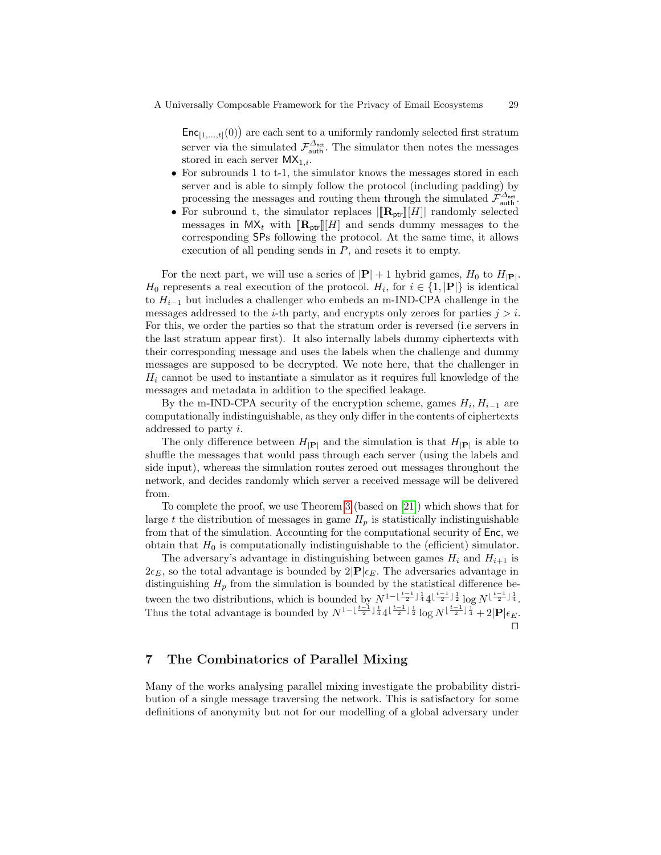#### A Universally Composable Framework for the Privacy of Email Ecosystems 29

 $Enc_{[1,...,t]}(0)$  are each sent to a uniformly randomly selected first stratum server via the simulated  $\mathcal{F}^{\Delta_{\text{net}}}_{\text{auth}}$ . The simulator then notes the messages stored in each server  $MX_{1,i}$ .

- ∙ For subrounds 1 to t-1, the simulator knows the messages stored in each server and is able to simply follow the protocol (including padding) by processing the messages and routing them through the simulated  $\mathcal{F}^{\Delta_{\text{net}}}_{\text{auth}}$ .
- For subround t, the simulator replaces  $\left|\left[\mathbf{R}_{\text{ptr}}\right]\right|$  and  $\left|\mathbf{R}\right|$  randomly selected messages in  $M_{t}$  with  $[\mathbf{R}_{\text{ptr}}][H]$  and sends dummy messages to the corresponding SPs following the protocol. At the same time, it allows execution of all pending sends in  $P$ , and resets it to empty.

For the next part, we will use a series of  $|\mathbf{P}| + 1$  hybrid games,  $H_0$  to  $H_{|\mathbf{P}|}$ .  $H_0$  represents a real execution of the protocol.  $H_i$ , for  $i \in \{1, |\mathbf{P}|\}$  is identical to  $H_{i-1}$  but includes a challenger who embeds an m-IND-CPA challenge in the messages addressed to the *i*-th party, and encrypts only zeroes for parties  $j > i$ . For this, we order the parties so that the stratum order is reversed (i.e servers in the last stratum appear first). It also internally labels dummy ciphertexts with their corresponding message and uses the labels when the challenge and dummy messages are supposed to be decrypted. We note here, that the challenger in  $H_i$  cannot be used to instantiate a simulator as it requires full knowledge of the messages and metadata in addition to the specified leakage.

By the m-IND-CPA security of the encryption scheme, games  $H_i, H_{i-1}$  are computationally indistinguishable, as they only differ in the contents of ciphertexts addressed to party  $i$ .

The only difference between  $H_{|\mathbf{P}|}$  and the simulation is that  $H_{|\mathbf{P}|}$  is able to shuffle the messages that would pass through each server (using the labels and side input), whereas the simulation routes zeroed out messages throughout the network, and decides randomly which server a received message will be delivered from.

To complete the proof, we use Theorem [3](#page-30-0) (based on [\[21\]](#page-32-20)) which shows that for large  $t$  the distribution of messages in game  $H_p$  is statistically indistinguishable from that of the simulation. Accounting for the computational security of Enc, we obtain that  $H_0$  is computationally indistinguishable to the (efficient) simulator.

The adversary's advantage in distinguishing between games  $H_i$  and  $H_{i+1}$  is  $2\epsilon_E$ , so the total advantage is bounded by  $2|\mathbf{P}|\epsilon_E$ . The adversaries advantage in distinguishing  $H_p$  from the simulation is bounded by the statistical difference between the two distributions, which is bounded by  $N^{1-\lfloor \frac{t-1}{2} \rfloor \frac{1}{4}} 4^{\lfloor \frac{t-1}{2} \rfloor \frac{1}{2}} \log N^{\lfloor \frac{t-1}{2} \rfloor \frac{1}{4}}$ . Thus the total advantage is bounded by  $N^{1-\lfloor \frac{t-1}{2} \rfloor \frac{1}{4}} 4^{\lfloor \frac{t-1}{2} \rfloor \frac{1}{2}} \log N^{\lfloor \frac{t-1}{2} \rfloor \frac{1}{4}} + 2|\mathbf{P}| \epsilon_E$ . ⊓⊔

## <span id="page-29-0"></span>7 The Combinatorics of Parallel Mixing

Many of the works analysing parallel mixing investigate the probability distribution of a single message traversing the network. This is satisfactory for some definitions of anonymity but not for our modelling of a global adversary under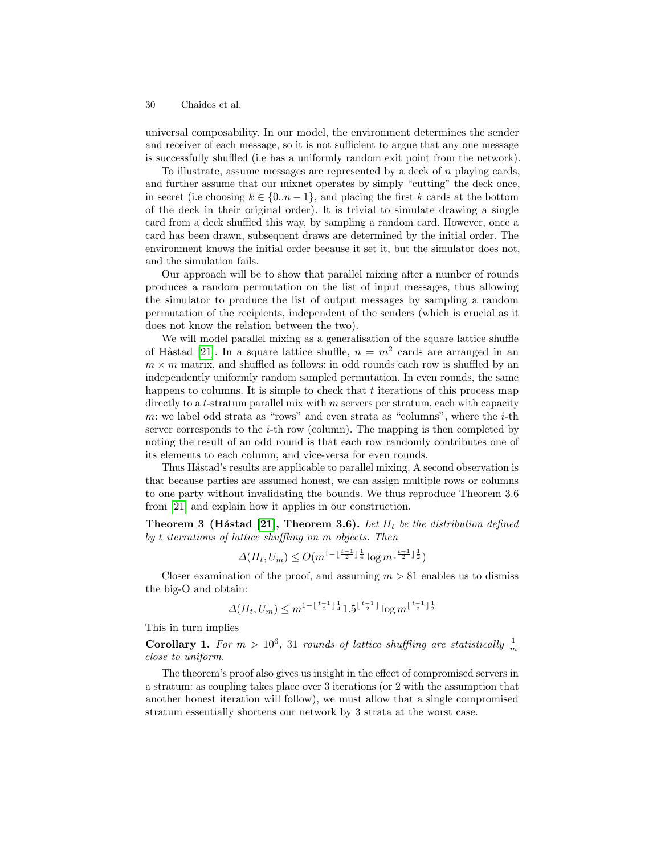universal composability. In our model, the environment determines the sender and receiver of each message, so it is not sufficient to argue that any one message is successfully shuffled (i.e has a uniformly random exit point from the network).

To illustrate, assume messages are represented by a deck of  $n$  playing cards, and further assume that our mixnet operates by simply "cutting" the deck once, in secret (i.e choosing  $k \in \{0..n-1\}$ , and placing the first k cards at the bottom of the deck in their original order). It is trivial to simulate drawing a single card from a deck shuffled this way, by sampling a random card. However, once a card has been drawn, subsequent draws are determined by the initial order. The environment knows the initial order because it set it, but the simulator does not, and the simulation fails.

Our approach will be to show that parallel mixing after a number of rounds produces a random permutation on the list of input messages, thus allowing the simulator to produce the list of output messages by sampling a random permutation of the recipients, independent of the senders (which is crucial as it does not know the relation between the two).

We will model parallel mixing as a generalisation of the square lattice shuffle of Håstad [\[21\]](#page-32-20). In a square lattice shuffle,  $n = m^2$  cards are arranged in an  $m \times m$  matrix, and shuffled as follows: in odd rounds each row is shuffled by an independently uniformly random sampled permutation. In even rounds, the same happens to columns. It is simple to check that  $t$  iterations of this process map directly to a  $t$ -stratum parallel mix with  $m$  servers per stratum, each with capacity  $m:$  we label odd strata as "rows" and even strata as "columns", where the  $i$ -th server corresponds to the  $i$ -th row (column). The mapping is then completed by noting the result of an odd round is that each row randomly contributes one of its elements to each column, and vice-versa for even rounds.

Thus Håstad's results are applicable to parallel mixing. A second observation is that because parties are assumed honest, we can assign multiple rows or columns to one party without invalidating the bounds. We thus reproduce Theorem 3.6 from [\[21\]](#page-32-20) and explain how it applies in our construction.

<span id="page-30-0"></span>**Theorem 3 (Håstad [\[21\]](#page-32-20), Theorem 3.6).** Let  $\Pi_t$  be the distribution defined by  $t$  iterrations of lattice shuffling on  $m$  objects. Then

$$
\Delta(\Pi_t, U_m) \le O(m^{1 - \lfloor \frac{t-1}{2} \rfloor \frac{1}{4}} \log m^{\lfloor \frac{t-1}{2} \rfloor \frac{1}{2}})
$$

Closer examination of the proof, and assuming  $m > 81$  enables us to dismiss the big-O and obtain:

$$
\Delta(\Pi_t, U_m) \le m^{1 - \lfloor \frac{t-1}{2} \rfloor \frac{1}{4}} 1.5^{\lfloor \frac{t-1}{2} \rfloor} \log m^{\lfloor \frac{t-1}{2} \rfloor \frac{1}{2}}
$$

This in turn implies

**Corollary 1.** For  $m > 10^6$ , 31 rounds of lattice shuffling are statistically  $\frac{1}{m}$ close to uniform.

The theorem's proof also gives us insight in the effect of compromised servers in a stratum: as coupling takes place over 3 iterations (or 2 with the assumption that another honest iteration will follow), we must allow that a single compromised stratum essentially shortens our network by 3 strata at the worst case.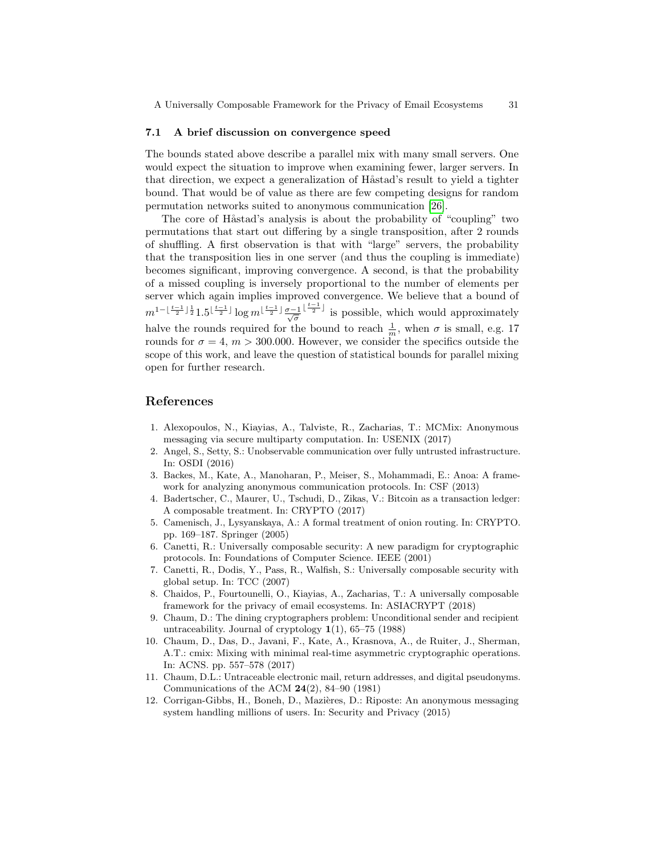#### 7.1 A brief discussion on convergence speed

The bounds stated above describe a parallel mix with many small servers. One would expect the situation to improve when examining fewer, larger servers. In that direction, we expect a generalization of Håstad's result to yield a tighter bound. That would be of value as there are few competing designs for random permutation networks suited to anonymous communication [\[26\]](#page-32-8).

The core of Håstad's analysis is about the probability of "coupling" two permutations that start out differing by a single transposition, after 2 rounds of shuffling. A first observation is that with "large" servers, the probability that the transposition lies in one server (and thus the coupling is immediate) becomes significant, improving convergence. A second, is that the probability of a missed coupling is inversely proportional to the number of elements per server which again implies improved convergence. We believe that a bound of  $m^{1-\lfloor\frac{t-1}{2}\rfloor\frac{1}{2}}1.5^{\lfloor\frac{t-1}{2}\rfloor}\log m^{\lfloor\frac{t-1}{2}\rfloor}\frac{\sigma-1}{\sqrt{\sigma}}$  $\lfloor \frac{t-1}{2} \rfloor$  is possible, which would approximately halve the rounds required for the bound to reach  $\frac{1}{m}$ , when  $\sigma$  is small, e.g. 17 rounds for  $\sigma = 4$ ,  $m > 300.000$ . However, we consider the specifics outside the scope of this work, and leave the question of statistical bounds for parallel mixing open for further research.

### References

- <span id="page-31-6"></span>1. Alexopoulos, N., Kiayias, A., Talviste, R., Zacharias, T.: MCMix: Anonymous messaging via secure multiparty computation. In: USENIX (2017)
- <span id="page-31-3"></span>2. Angel, S., Setty, S.: Unobservable communication over fully untrusted infrastructure. In: OSDI (2016)
- <span id="page-31-8"></span>3. Backes, M., Kate, A., Manoharan, P., Meiser, S., Mohammadi, E.: Anoa: A framework for analyzing anonymous communication protocols. In: CSF (2013)
- <span id="page-31-11"></span>4. Badertscher, C., Maurer, U., Tschudi, D., Zikas, V.: Bitcoin as a transaction ledger: A composable treatment. In: CRYPTO (2017)
- <span id="page-31-9"></span>5. Camenisch, J., Lysyanskaya, A.: A formal treatment of onion routing. In: CRYPTO. pp. 169–187. Springer (2005)
- <span id="page-31-7"></span>6. Canetti, R.: Universally composable security: A new paradigm for cryptographic protocols. In: Foundations of Computer Science. IEEE (2001)
- <span id="page-31-10"></span>7. Canetti, R., Dodis, Y., Pass, R., Walfish, S.: Universally composable security with global setup. In: TCC (2007)
- <span id="page-31-0"></span>8. Chaidos, P., Fourtounelli, O., Kiayias, A., Zacharias, T.: A universally composable framework for the privacy of email ecosystems. In: ASIACRYPT (2018)
- <span id="page-31-2"></span>9. Chaum, D.: The dining cryptographers problem: Unconditional sender and recipient untraceability. Journal of cryptology  $1(1)$ , 65–75 (1988)
- <span id="page-31-4"></span>10. Chaum, D., Das, D., Javani, F., Kate, A., Krasnova, A., de Ruiter, J., Sherman, A.T.: cmix: Mixing with minimal real-time asymmetric cryptographic operations. In: ACNS. pp. 557–578 (2017)
- <span id="page-31-1"></span>11. Chaum, D.L.: Untraceable electronic mail, return addresses, and digital pseudonyms. Communications of the ACM  $24(2)$ , 84-90 (1981)
- <span id="page-31-5"></span>12. Corrigan-Gibbs, H., Boneh, D., Mazières, D.: Riposte: An anonymous messaging system handling millions of users. In: Security and Privacy (2015)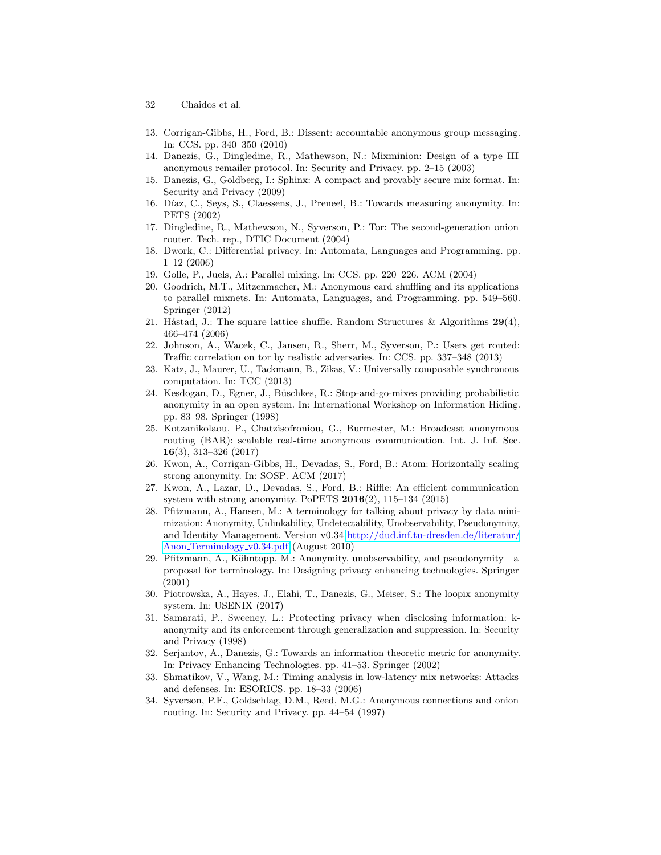- 32 Chaidos et al.
- 13. Corrigan-Gibbs, H., Ford, B.: Dissent: accountable anonymous group messaging. In: CCS. pp. 340–350 (2010)
- <span id="page-32-4"></span>14. Danezis, G., Dingledine, R., Mathewson, N.: Mixminion: Design of a type III anonymous remailer protocol. In: Security and Privacy. pp. 2–15 (2003)
- <span id="page-32-19"></span>15. Danezis, G., Goldberg, I.: Sphinx: A compact and provably secure mix format. In: Security and Privacy (2009)
- <span id="page-32-13"></span>16. Díaz, C., Seys, S., Claessens, J., Preneel, B.: Towards measuring anonymity. In: PETS (2002)
- <span id="page-32-1"></span>17. Dingledine, R., Mathewson, N., Syverson, P.: Tor: The second-generation onion router. Tech. rep., DTIC Document (2004)
- <span id="page-32-16"></span>18. Dwork, C.: Differential privacy. In: Automata, Languages and Programming. pp. 1–12 (2006)
- <span id="page-32-10"></span>19. Golle, P., Juels, A.: Parallel mixing. In: CCS. pp. 220–226. ACM (2004)
- <span id="page-32-18"></span>20. Goodrich, M.T., Mitzenmacher, M.: Anonymous card shuffling and its applications to parallel mixnets. In: Automata, Languages, and Programming. pp. 549–560. Springer (2012)
- <span id="page-32-20"></span>21. Håstad, J.: The square lattice shuffle. Random Structures & Algorithms  $29(4)$ , 466–474 (2006)
- <span id="page-32-2"></span>22. Johnson, A., Wacek, C., Jansen, R., Sherr, M., Syverson, P.: Users get routed: Traffic correlation on tor by realistic adversaries. In: CCS. pp. 337–348 (2013)
- <span id="page-32-17"></span>23. Katz, J., Maurer, U., Tackmann, B., Zikas, V.: Universally composable synchronous computation. In: TCC (2013)
- <span id="page-32-15"></span>24. Kesdogan, D., Egner, J., Büschkes, R.: Stop-and-go-mixes providing probabilistic anonymity in an open system. In: International Workshop on Information Hiding. pp. 83–98. Springer (1998)
- <span id="page-32-5"></span>25. Kotzanikolaou, P., Chatzisofroniou, G., Burmester, M.: Broadcast anonymous routing (BAR): scalable real-time anonymous communication. Int. J. Inf. Sec. 16(3), 313–326 (2017)
- <span id="page-32-8"></span>26. Kwon, A., Corrigan-Gibbs, H., Devadas, S., Ford, B.: Atom: Horizontally scaling strong anonymity. In: SOSP. ACM (2017)
- <span id="page-32-6"></span>27. Kwon, A., Lazar, D., Devadas, S., Ford, B.: Riffle: An efficient communication system with strong anonymity. PoPETS 2016(2), 115–134 (2015)
- <span id="page-32-9"></span>28. Pfitzmann, A., Hansen, M.: A terminology for talking about privacy by data minimization: Anonymity, Unlinkability, Undetectability, Unobservability, Pseudonymity, and Identity Management. Version v0.34 [http://dud.inf.tu-dresden.de/literatur/](http://dud.inf.tu-dresden.de/literatur/Anon_Terminology_v0.34.pdf) Anon<sub>-[Terminology](http://dud.inf.tu-dresden.de/literatur/Anon_Terminology_v0.34.pdf)-v0.34.pdf</sub> (August 2010)
- <span id="page-32-11"></span>29. Pfitzmann, A., Köhntopp, M.: Anonymity, unobservability, and pseudonymity—a proposal for terminology. In: Designing privacy enhancing technologies. Springer (2001)
- <span id="page-32-7"></span>30. Piotrowska, A., Hayes, J., Elahi, T., Danezis, G., Meiser, S.: The loopix anonymity system. In: USENIX (2017)
- <span id="page-32-12"></span>31. Samarati, P., Sweeney, L.: Protecting privacy when disclosing information: kanonymity and its enforcement through generalization and suppression. In: Security and Privacy (1998)
- <span id="page-32-14"></span>32. Serjantov, A., Danezis, G.: Towards an information theoretic metric for anonymity. In: Privacy Enhancing Technologies. pp. 41–53. Springer (2002)
- <span id="page-32-3"></span>33. Shmatikov, V., Wang, M.: Timing analysis in low-latency mix networks: Attacks and defenses. In: ESORICS. pp. 18–33 (2006)
- <span id="page-32-0"></span>34. Syverson, P.F., Goldschlag, D.M., Reed, M.G.: Anonymous connections and onion routing. In: Security and Privacy. pp. 44–54 (1997)